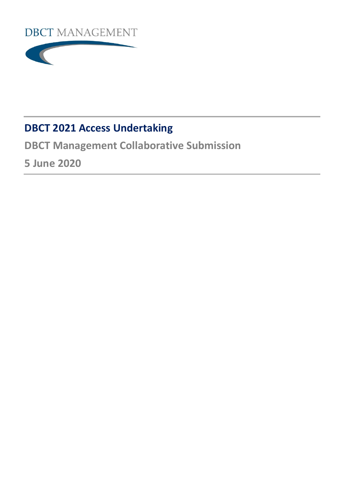



# **DBCT 2021 Access Undertaking**

**DBCT Management Collaborative Submission**

**5 June 2020**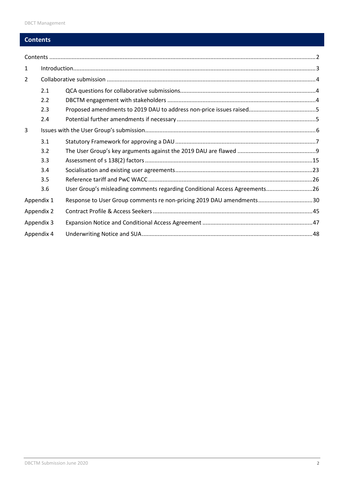## <span id="page-1-0"></span>**Contents**

| 1              |            |                                                                            |  |  |  |
|----------------|------------|----------------------------------------------------------------------------|--|--|--|
| $\overline{2}$ |            |                                                                            |  |  |  |
|                | 2.1        |                                                                            |  |  |  |
|                | 2.2        |                                                                            |  |  |  |
|                | 2.3        |                                                                            |  |  |  |
|                | 2.4        |                                                                            |  |  |  |
| 3              |            |                                                                            |  |  |  |
|                | 3.1        |                                                                            |  |  |  |
|                | 3.2        |                                                                            |  |  |  |
|                | 3.3        |                                                                            |  |  |  |
|                | 3.4        |                                                                            |  |  |  |
|                | 3.5        |                                                                            |  |  |  |
|                | 3.6        | User Group's misleading comments regarding Conditional Access Agreements26 |  |  |  |
| Appendix 1     |            | Response to User Group comments re non-pricing 2019 DAU amendments30       |  |  |  |
|                | Appendix 2 |                                                                            |  |  |  |
| Appendix 3     |            |                                                                            |  |  |  |
| Appendix 4     |            |                                                                            |  |  |  |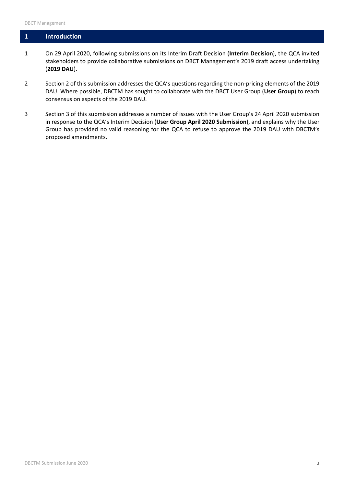## <span id="page-2-0"></span>**1 Introduction**

- 1 On 29 April 2020, following submissions on its Interim Draft Decision (**Interim Decision**), the QCA invited stakeholders to provide collaborative submissions on DBCT Management's 2019 draft access undertaking (**2019 DAU**).
- 2 Section 2 of this submission addresses the QCA's questions regarding the non-pricing elements of the 2019 DAU. Where possible, DBCTM has sought to collaborate with the DBCT User Group (**User Group**) to reach consensus on aspects of the 2019 DAU.
- 3 Section 3 of this submission addresses a number of issues with the User Group's 24 April 2020 submission in response to the QCA's Interim Decision (**User Group April 2020 Submission**), and explains why the User Group has provided no valid reasoning for the QCA to refuse to approve the 2019 DAU with DBCTM's proposed amendments.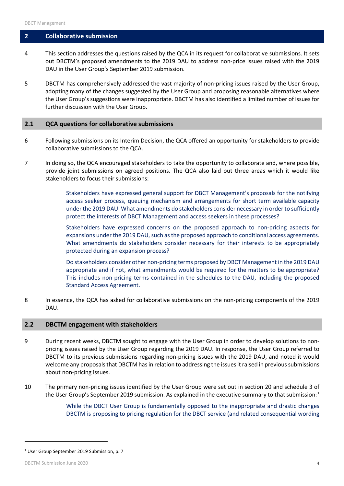#### <span id="page-3-0"></span>**2 Collaborative submission**

- 4 This section addresses the questions raised by the QCA in its request for collaborative submissions. It sets out DBCTM's proposed amendments to the 2019 DAU to address non-price issues raised with the 2019 DAU in the User Group's September 2019 submission.
- 5 DBCTM has comprehensively addressed the vast majority of non-pricing issues raised by the User Group, adopting many of the changes suggested by the User Group and proposing reasonable alternatives where the User Group's suggestions were inappropriate. DBCTM has also identified a limited number of issues for further discussion with the User Group.

#### <span id="page-3-1"></span>**2.1 QCA questions for collaborative submissions**

- 6 Following submissions on its Interim Decision, the QCA offered an opportunity for stakeholders to provide collaborative submissions to the QCA.
- 7 In doing so, the QCA encouraged stakeholders to take the opportunity to collaborate and, where possible, provide joint submissions on agreed positions. The QCA also laid out three areas which it would like stakeholders to focus their submissions:

Stakeholders have expressed general support for DBCT Management's proposals for the notifying access seeker process, queuing mechanism and arrangements for short term available capacity under the 2019 DAU. What amendments do stakeholders consider necessary in order to sufficiently protect the interests of DBCT Management and access seekers in these processes?

Stakeholders have expressed concerns on the proposed approach to non-pricing aspects for expansions under the 2019 DAU, such as the proposed approach to conditional access agreements. What amendments do stakeholders consider necessary for their interests to be appropriately protected during an expansion process?

Do stakeholders consider other non-pricing terms proposed by DBCT Management in the 2019 DAU appropriate and if not, what amendments would be required for the matters to be appropriate? This includes non-pricing terms contained in the schedules to the DAU, including the proposed Standard Access Agreement.

8 In essence, the QCA has asked for collaborative submissions on the non-pricing components of the 2019 DAU.

#### <span id="page-3-2"></span>**2.2 DBCTM engagement with stakeholders**

- 9 During recent weeks, DBCTM sought to engage with the User Group in order to develop solutions to nonpricing issues raised by the User Group regarding the 2019 DAU. In response, the User Group referred to DBCTM to its previous submissions regarding non-pricing issues with the 2019 DAU, and noted it would welcome any proposals that DBCTM has in relation to addressing the issues it raised in previous submissions about non-pricing issues.
- 10 The primary non-pricing issues identified by the User Group were set out in section 20 and schedule 3 of the User Group's September 20[1](#page-3-3)9 submission. As explained in the executive summary to that submission:<sup>1</sup>

While the DBCT User Group is fundamentally opposed to the inappropriate and drastic changes DBCTM is proposing to pricing regulation for the DBCT service (and related consequential wording

 $\overline{a}$ 

<span id="page-3-3"></span><sup>1</sup> User Group September 2019 Submission, p. 7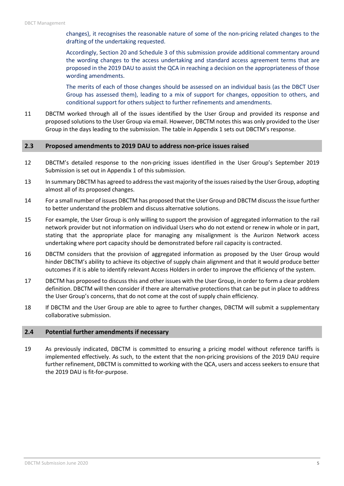changes), it recognises the reasonable nature of some of the non-pricing related changes to the drafting of the undertaking requested.

Accordingly, Section 20 and Schedule 3 of this submission provide additional commentary around the wording changes to the access undertaking and standard access agreement terms that are proposed in the 2019 DAU to assist the QCA in reaching a decision on the appropriateness of those wording amendments.

The merits of each of those changes should be assessed on an individual basis (as the DBCT User Group has assessed them), leading to a mix of support for changes, opposition to others, and conditional support for others subject to further refinements and amendments.

11 DBCTM worked through all of the issues identified by the User Group and provided its response and proposed solutions to the User Group via email. However, DBCTM notes this was only provided to the User Group in the days leading to the submission. The table in Appendix 1 sets out DBCTM's response.

#### <span id="page-4-0"></span>**2.3 Proposed amendments to 2019 DAU to address non-price issues raised**

- 12 DBCTM's detailed response to the non-pricing issues identified in the User Group's September 2019 Submission is set out in Appendix 1 of this submission.
- 13 In summary DBCTM has agreed to address the vast majority of the issues raised by the User Group, adopting almost all of its proposed changes.
- 14 For a small number of issues DBCTM has proposed that the User Group and DBCTM discuss the issue further to better understand the problem and discuss alternative solutions.
- 15 For example, the User Group is only willing to support the provision of aggregated information to the rail network provider but not information on individual Users who do not extend or renew in whole or in part, stating that the appropriate place for managing any misalignment is the Aurizon Network access undertaking where port capacity should be demonstrated before rail capacity is contracted.
- 16 DBCTM considers that the provision of aggregated information as proposed by the User Group would hinder DBCTM's ability to achieve its objective of supply chain alignment and that it would produce better outcomes if it is able to identify relevant Access Holders in order to improve the efficiency of the system.
- 17 DBCTM has proposed to discuss this and other issues with the User Group, in order to form a clear problem definition. DBCTM will then consider if there are alternative protections that can be put in place to address the User Group's concerns, that do not come at the cost of supply chain efficiency.
- 18 If DBCTM and the User Group are able to agree to further changes, DBCTM will submit a supplementary collaborative submission.

#### <span id="page-4-1"></span>**2.4 Potential further amendments if necessary**

19 As previously indicated, DBCTM is committed to ensuring a pricing model without reference tariffs is implemented effectively. As such, to the extent that the non-pricing provisions of the 2019 DAU require further refinement, DBCTM is committed to working with the QCA, users and access seekers to ensure that the 2019 DAU is fit-for-purpose.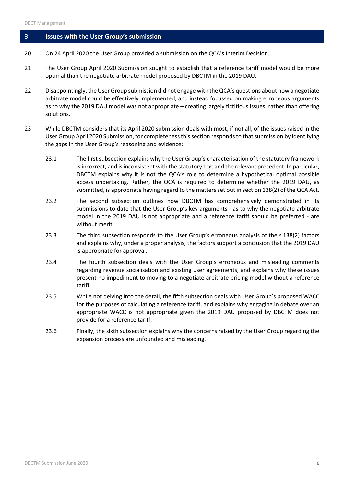#### <span id="page-5-0"></span>**3 Issues with the User Group's submission**

- 20 On 24 April 2020 the User Group provided a submission on the QCA's Interim Decision.
- 21 The User Group April 2020 Submission sought to establish that a reference tariff model would be more optimal than the negotiate arbitrate model proposed by DBCTM in the 2019 DAU.
- 22 Disappointingly, the User Group submission did not engage with the QCA's questions about how a negotiate arbitrate model could be effectively implemented, and instead focussed on making erroneous arguments as to why the 2019 DAU model was not appropriate – creating largely fictitious issues, rather than offering solutions.
- 23 While DBCTM considers that its April 2020 submission deals with most, if not all, of the issues raised in the User Group April 2020 Submission, for completeness this section responds to that submission by identifying the gaps in the User Group's reasoning and evidence:
	- 23.1 The first subsection explains why the User Group's characterisation of the statutory framework is incorrect, and is inconsistent with the statutory text and the relevant precedent. In particular, DBCTM explains why it is not the QCA's role to determine a hypothetical optimal possible access undertaking. Rather, the QCA is required to determine whether the 2019 DAU, as submitted, is appropriate having regard to the matters set out in section 138(2) of the QCA Act.
	- 23.2 The second subsection outlines how DBCTM has comprehensively demonstrated in its submissions to date that the User Group's key arguments - as to why the negotiate arbitrate model in the 2019 DAU is not appropriate and a reference tariff should be preferred - are without merit.
	- 23.3 The third subsection responds to the User Group's erroneous analysis of the s 138(2) factors and explains why, under a proper analysis, the factors support a conclusion that the 2019 DAU is appropriate for approval.
	- 23.4 The fourth subsection deals with the User Group's erroneous and misleading comments regarding revenue socialisation and existing user agreements, and explains why these issues present no impediment to moving to a negotiate arbitrate pricing model without a reference tariff.
	- 23.5 While not delving into the detail, the fifth subsection deals with User Group's proposed WACC for the purposes of calculating a reference tariff, and explains why engaging in debate over an appropriate WACC is not appropriate given the 2019 DAU proposed by DBCTM does not provide for a reference tariff.
	- 23.6 Finally, the sixth subsection explains why the concerns raised by the User Group regarding the expansion process are unfounded and misleading.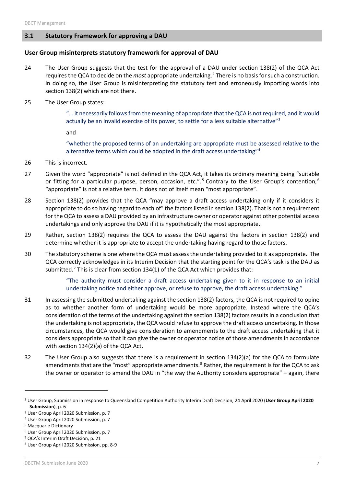#### <span id="page-6-0"></span>**3.1 Statutory Framework for approving a DAU**

#### **User Group misinterprets statutory framework for approval of DAU**

- 24 The User Group suggests that the test for the approval of a DAU under section 138(2) of the QCA Act requires the QCA to decide on the *most* appropriate undertaking.[2](#page-6-1) There is no basis for such a construction. In doing so, the User Group is misinterpreting the statutory test and erroneously importing words into section 138(2) which are not there.
- 25 The User Group states:

"… it necessarily follows from the meaning of appropriate that the QCA is not required, and it would actually be an invalid exercise of its power, to settle for a less suitable alternative"<sup>[3](#page-6-2)</sup>

and

"whether the proposed terms of an undertaking are appropriate must be assessed relative to the alternative terms which could be adopted in the draft access undertaking"[4](#page-6-3)

- 26 This is incorrect.
- 27 Given the word "appropriate" is not defined in the QCA Act, it takes its ordinary meaning being "suitable or fitting for a particular purpose, person, occasion, etc.".<sup>[5](#page-6-4)</sup> Contrary to the User Group's contention,<sup>[6](#page-6-5)</sup> "appropriate" is not a relative term. It does not of itself mean "most appropriate".
- 28 Section 138(2) provides that the QCA "may approve a draft access undertaking only if it considers it appropriate to do so having regard to each of" the factors listed in section 138(2). That is not a requirement for the QCA to assess a DAU provided by an infrastructure owner or operator against other potential access undertakings and only approve the DAU if it is hypothetically the most appropriate.
- 29 Rather, section 138(2) requires the QCA to assess the DAU against the factors in section 138(2) and determine whether it is appropriate to accept the undertaking having regard to those factors.
- 30 The statutory scheme is one where the QCA must assessthe undertaking provided to it as appropriate. The QCA correctly acknowledges in its Interim Decision that the starting point for the QCA's task is the DAU as submitted.<sup>[7](#page-6-6)</sup> This is clear from section 134(1) of the QCA Act which provides that:

"The authority must consider a draft access undertaking given to it in response to an initial undertaking notice and either approve, or refuse to approve, the draft access undertaking."

- 31 In assessing the submitted undertaking against the section 138(2) factors, the QCA is not required to opine as to whether another form of undertaking would be more appropriate. Instead where the QCA's consideration of the terms of the undertaking against the section 138(2) factors results in a conclusion that the undertaking is not appropriate, the QCA would refuse to approve the draft access undertaking. In those circumstances, the QCA would give consideration to amendments to the draft access undertaking that it considers appropriate so that it can give the owner or operator notice of those amendments in accordance with section 134(2)(a) of the QCA Act.
- 32 The User Group also suggests that there is a requirement in section 134(2)(a) for the QCA to formulate amendments that are the "most" appropriate amendments.<sup>8</sup> Rather, the requirement is for the QCA to ask the owner or operator to amend the DAU in "the way the Authority considers appropriate" – again, there

<span id="page-6-1"></span><sup>2</sup> User Group, Submission in response to Queensland Competition Authority Interim Draft Decision, 24 April 2020 (**User Group April 2020 Submission**), p. 6

<span id="page-6-2"></span><sup>3</sup> User Group April 2020 Submission, p. 7

<span id="page-6-3"></span><sup>4</sup> User Group April 2020 Submission, p. 7

<span id="page-6-4"></span><sup>5</sup> Macquarie Dictionary

<span id="page-6-5"></span><sup>6</sup> User Group April 2020 Submission, p. 7

<span id="page-6-6"></span><sup>7</sup> QCA's Interim Draft Decision, p. 21

<span id="page-6-7"></span><sup>8</sup> User Group April 2020 Submission, pp. 8-9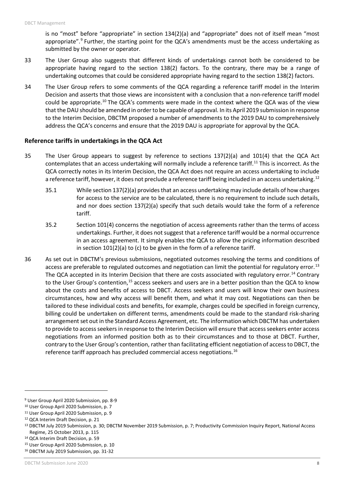is no "most" before "appropriate" in section 134(2)(a) and "appropriate" does not of itself mean "most appropriate".<sup>[9](#page-7-0)</sup> Further, the starting point for the QCA's amendments must be the access undertaking as submitted by the owner or operator.

- 33 The User Group also suggests that different kinds of undertakings cannot both be considered to be appropriate having regard to the section 138(2) factors. To the contrary, there may be a range of undertaking outcomes that could be considered appropriate having regard to the section 138(2) factors.
- 34 The User Group refers to some comments of the QCA regarding a reference tariff model in the Interim Decision and asserts that those views are inconsistent with a conclusion that a non-reference tariff model could be appropriate.<sup>[10](#page-7-1)</sup> The QCA's comments were made in the context where the QCA was of the view that the DAU should be amended in order to be capable of approval. In its April 2019 submission in response to the Interim Decision, DBCTM proposed a number of amendments to the 2019 DAU to comprehensively address the QCA's concerns and ensure that the 2019 DAU is appropriate for approval by the QCA.

#### **Reference tariffs in undertakings in the QCA Act**

- 35 The User Group appears to suggest by reference to sections 137(2)(a) and 101(4) that the QCA Act contemplates that an access undertaking will normally include a reference tariff[.11](#page-7-2) This is incorrect. As the QCA correctly notes in its Interim Decision, the QCA Act does not require an access undertaking to include a reference tariff, however, it does not preclude a reference tariff being included in an access undertaking.<sup>[12](#page-7-3)</sup>
	- 35.1 While section 137(2)(a) provides that an access undertaking may include details of how charges for access to the service are to be calculated, there is no requirement to include such details, and nor does section 137(2)(a) specify that such details would take the form of a reference tariff.
	- 35.2 Section 101(4) concerns the negotiation of access agreements rather than the terms of access undertakings. Further, it does not suggest that a reference tariff would be a normal occurrence in an access agreement. It simply enables the QCA to allow the pricing information described in section 101(2)(a) to (c) to be given in the form of a reference tariff.
- 36 As set out in DBCTM's previous submissions, negotiated outcomes resolving the terms and conditions of access are preferable to regulated outcomes and negotiation can limit the potential for regulatory error.<sup>[13](#page-7-4)</sup> The QCA accepted in its Interim Decision that there are costs associated with regulatory error.<sup>[14](#page-7-5)</sup> Contrary to the User Group's contention,<sup>15</sup> access seekers and users are in a better position than the QCA to know about the costs and benefits of access to DBCT. Access seekers and users will know their own business circumstances, how and why access will benefit them, and what it may cost. Negotiations can then be tailored to these individual costs and benefits, for example, charges could be specified in foreign currency, billing could be undertaken on different terms, amendments could be made to the standard risk-sharing arrangement set out in the Standard Access Agreement, etc. The information which DBCTM has undertaken to provide to access seekers in response to the Interim Decision will ensure that access seekers enter access negotiations from an informed position both as to their circumstances and to those at DBCT. Further, contrary to the User Group's contention, rather than facilitating efficient negotiation of access to DBCT, the reference tariff approach has precluded commercial access negotiations.<sup>[16](#page-7-7)</sup>

<span id="page-7-0"></span><sup>9</sup> User Group April 2020 Submission, pp. 8-9

<span id="page-7-1"></span><sup>10</sup> User Group April 2020 Submission, p. 7

<span id="page-7-2"></span><sup>11</sup> User Group April 2020 Submission, p. 9

<span id="page-7-3"></span><sup>12</sup> QCA Interim Draft Decision, p. 21

<span id="page-7-4"></span><sup>13</sup> DBCTM July 2019 Submission, p. 30; DBCTM November 2019 Submission, p. 7; Productivity Commission Inquiry Report, National Access Regime, 25 October 2013, p. 115

<span id="page-7-5"></span><sup>14</sup> QCA Interim Draft Decision, p. 59

<span id="page-7-6"></span><sup>&</sup>lt;sup>15</sup> User Group April 2020 Submission, p. 10

<span id="page-7-7"></span><sup>16</sup> DBCTM July 2019 Submission, pp. 31-32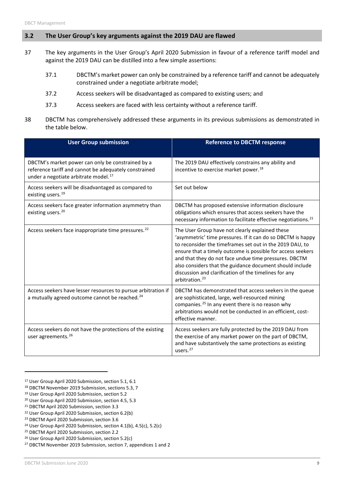## <span id="page-8-0"></span>**3.2 The User Group's key arguments against the 2019 DAU are flawed**

- 37 The key arguments in the User Group's April 2020 Submission in favour of a reference tariff model and against the 2019 DAU can be distilled into a few simple assertions:
	- 37.1 DBCTM's market power can only be constrained by a reference tariff and cannot be adequately constrained under a negotiate arbitrate model;
	- 37.2 Access seekers will be disadvantaged as compared to existing users; and
	- 37.3 Access seekers are faced with less certainty without a reference tariff.
- 38 DBCTM has comprehensively addressed these arguments in its previous submissions as demonstrated in the table below.

| <b>User Group submission</b>                                                                                                                                   | <b>Reference to DBCTM response</b>                                                                                                                                                                                                                                                                                                                                                                                                                    |
|----------------------------------------------------------------------------------------------------------------------------------------------------------------|-------------------------------------------------------------------------------------------------------------------------------------------------------------------------------------------------------------------------------------------------------------------------------------------------------------------------------------------------------------------------------------------------------------------------------------------------------|
| DBCTM's market power can only be constrained by a<br>reference tariff and cannot be adequately constrained<br>under a negotiate arbitrate model. <sup>17</sup> | The 2019 DAU effectively constrains any ability and<br>incentive to exercise market power. <sup>18</sup>                                                                                                                                                                                                                                                                                                                                              |
| Access seekers will be disadvantaged as compared to<br>existing users. <sup>19</sup>                                                                           | Set out below                                                                                                                                                                                                                                                                                                                                                                                                                                         |
| Access seekers face greater information asymmetry than<br>existing users. <sup>20</sup>                                                                        | DBCTM has proposed extensive information disclosure<br>obligations which ensures that access seekers have the<br>necessary information to facilitate effective negotiations. <sup>21</sup>                                                                                                                                                                                                                                                            |
| Access seekers face inappropriate time pressures. <sup>22</sup>                                                                                                | The User Group have not clearly explained these<br>'asymmetric' time pressures. If it can do so DBCTM is happy<br>to reconsider the timeframes set out in the 2019 DAU, to<br>ensure that a timely outcome is possible for access seekers<br>and that they do not face undue time pressures. DBCTM<br>also considers that the guidance document should include<br>discussion and clarification of the timelines for any<br>arbitration. <sup>23</sup> |
| Access seekers have lesser resources to pursue arbitration if<br>a mutually agreed outcome cannot be reached. <sup>24</sup>                                    | DBCTM has demonstrated that access seekers in the queue<br>are sophisticated, large, well-resourced mining<br>companies. <sup>25</sup> In any event there is no reason why<br>arbitrations would not be conducted in an efficient, cost-<br>effective manner.                                                                                                                                                                                         |
| Access seekers do not have the protections of the existing<br>user agreements. <sup>26</sup>                                                                   | Access seekers are fully protected by the 2019 DAU from<br>the exercise of any market power on the part of DBCTM,<br>and have substantively the same protections as existing<br>users. <sup>27</sup>                                                                                                                                                                                                                                                  |

<span id="page-8-1"></span><sup>17</sup> User Group April 2020 Submission, section 5.1, 6.1

 $\overline{a}$ 

<span id="page-8-2"></span><sup>18</sup> DBCTM November 2019 Submission, sections 5.3, 7

<span id="page-8-3"></span><sup>19</sup> User Group April 2020 Submission, section 5.2

<span id="page-8-4"></span><sup>20</sup> User Group April 2020 Submission, section 4.5, 5.3

<span id="page-8-5"></span><sup>21</sup> DBCTM April 2020 Submission, section 3.3

<span id="page-8-6"></span><sup>22</sup> User Group April 2020 Submission, section 6.2(b)

<span id="page-8-7"></span><sup>23</sup> DBCTM April 2020 Submission, section 3.6

<span id="page-8-8"></span><sup>&</sup>lt;sup>24</sup> User Group April 2020 Submission, section 4.1(b), 4.5(c), 5.2(c) <sup>25</sup> DBCTM April 2020 Submission, section 2.2

<span id="page-8-10"></span><span id="page-8-9"></span><sup>26</sup> User Group April 2020 Submission, section 5.2(c)

<span id="page-8-11"></span><sup>27</sup> DBCTM November 2019 Submission, section 7, appendices 1 and 2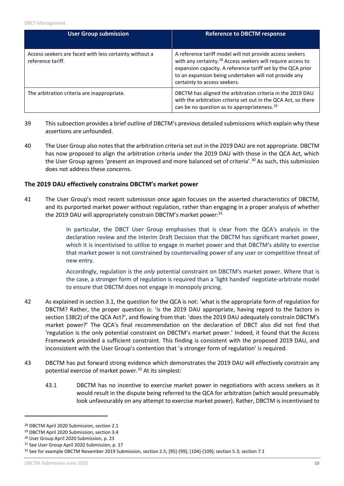| <b>User Group submission</b>                                                | <b>Reference to DBCTM response</b>                                                                                                                                                                                                                                                          |
|-----------------------------------------------------------------------------|---------------------------------------------------------------------------------------------------------------------------------------------------------------------------------------------------------------------------------------------------------------------------------------------|
| Access seekers are faced with less certainty without a<br>reference tariff. | A reference tariff model will not provide access seekers<br>with any certainty. <sup>28</sup> Access seekers will require access to<br>expansion capacity. A reference tariff set by the QCA prior<br>to an expansion being undertaken will not provide any<br>certainty to access seekers. |
| The arbitration criteria are inappropriate.                                 | DBCTM has aligned the arbitration criteria in the 2019 DAU<br>with the arbitration criteria set out in the QCA Act, so there<br>can be no question as to appropriateness. <sup>29</sup>                                                                                                     |

- 39 This subsection provides a brief outline of DBCTM's previous detailed submissions which explain why these assertions are unfounded.
- 40 The User Group also notes that the arbitration criteria set out in the 2019 DAU are not appropriate. DBCTM has now proposed to align the arbitration criteria under the 2019 DAU with those in the QCA Act, which the User Group agrees 'present an improved and more balanced set of criteria'.<sup>[30](#page-9-2)</sup> As such, this submission does not address these concerns.

## **The 2019 DAU effectively constrains DBCTM's market power**

41 The User Group's most recent submission once again focuses on the asserted characteristics of DBCTM, and its purported market power without regulation, rather than engaging in a proper analysis of whether the 2019 DAU will appropriately constrain DBCTM's market power:<sup>[31](#page-9-3)</sup>

> In particular, the DBCT User Group emphasises that is clear from the QCA's analysis in the declaration review and the Interim Draft Decision that the DBCTM has significant market power, which it is incentivised to utilise to engage in market power and that DBCTM's ability to exercise that market power is not constrained by countervailing power of any user or competitive threat of new entry.

> Accordingly, regulation is the *only* potential constraint on DBCTM's market power. Where that is the case, a stronger form of regulation is required than a 'light handed' negotiate-arbitrate model to ensure that DBCTM does not engage in monopoly pricing.

- 42 As explained in section 3.1, the question for the QCA is not: 'what is the appropriate form of regulation for DBCTM? Rather, the proper question is: 'is the 2019 DAU appropriate, having regard to the factors in section 138(2) of the QCA Act?', and flowing from that: 'does the 2019 DAU adequately constrain DBCTM's market power?' The QCA's final recommendation on the declaration of DBCT also did not find that 'regulation is the only potential constraint on DBCTM's market power.' Indeed, it found that the Access Framework provided a sufficient constraint. This finding is consistent with the proposed 2019 DAU, and inconsistent with the User Group's contention that 'a stronger form of regulation' is required.
- 43 DBCTM has put forward strong evidence which demonstrates the 2019 DAU will effectively constrain any potential exercise of market power.[32](#page-9-4) At its simplest:
	- 43.1 DBCTM has no incentive to exercise market power in negotiations with access seekers as it would result in the dispute being referred to the QCA for arbitration (which would presumably look unfavourably on any attempt to exercise market power). Rather, DBCTM is incentivised to

<span id="page-9-0"></span><sup>28</sup> DBCTM April 2020 Submission, section 2.1

<span id="page-9-1"></span><sup>&</sup>lt;sup>29</sup> DBCTM April 2020 Submission, section 3.4<br><sup>30</sup> User Group April 2020 Submission, p. 23

<span id="page-9-2"></span>

<span id="page-9-3"></span><sup>&</sup>lt;sup>31</sup> See User Group April 2020 Submission, p. 17

<span id="page-9-4"></span><sup>32</sup> See for example DBCTM November 2019 Submission, section 2.5; [95]-[99]; [104]-[109]; section 5.3; section 7.1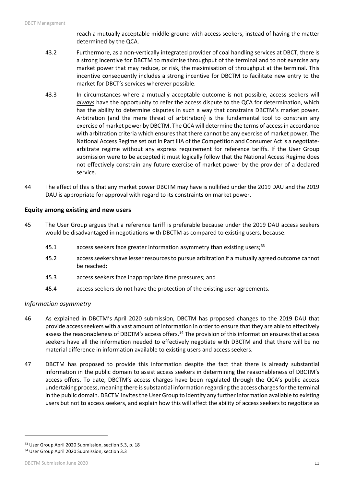reach a mutually acceptable middle-ground with access seekers, instead of having the matter determined by the QCA.

- 43.2 Furthermore, as a non-vertically integrated provider of coal handling services at DBCT, there is a strong incentive for DBCTM to maximise throughput of the terminal and to not exercise any market power that may reduce, or risk, the maximisation of throughput at the terminal. This incentive consequently includes a strong incentive for DBCTM to facilitate new entry to the market for DBCT's services wherever possible.
- 43.3 In circumstances where a mutually acceptable outcome is not possible, access seekers will *always* have the opportunity to refer the access dispute to the QCA for determination, which has the ability to determine disputes in such a way that constrains DBCTM's market power. Arbitration (and the mere threat of arbitration) is the fundamental tool to constrain any exercise of market power by DBCTM. The QCA will determine the terms of access in accordance with arbitration criteria which ensures that there cannot be any exercise of market power. The National Access Regime set out in Part IIIA of the Competition and Consumer Act is a negotiatearbitrate regime without any express requirement for reference tariffs. If the User Group submission were to be accepted it must logically follow that the National Access Regime does not effectively constrain any future exercise of market power by the provider of a declared service.
- 44 The effect of this is that any market power DBCTM may have is nullified under the 2019 DAU and the 2019 DAU is appropriate for approval with regard to its constraints on market power.

## **Equity among existing and new users**

- 45 The User Group argues that a reference tariff is preferable because under the 2019 DAU access seekers would be disadvantaged in negotiations with DBCTM as compared to existing users, because:
	- 45.1 access seekers face greater information asymmetry than existing users;<sup>[33](#page-10-0)</sup>
	- 45.2 access seekers have lesser resources to pursue arbitration if a mutually agreed outcome cannot be reached;
	- 45.3 access seekers face inappropriate time pressures; and
	- 45.4 access seekers do not have the protection of the existing user agreements.

#### *Information asymmetry*

- 46 As explained in DBCTM's April 2020 submission, DBCTM has proposed changes to the 2019 DAU that provide access seekers with a vast amount of information in order to ensure that they are able to effectively assess the reasonableness of DBCTM's access offers.<sup>[34](#page-10-1)</sup> The provision of this information ensures that access seekers have all the information needed to effectively negotiate with DBCTM and that there will be no material difference in information available to existing users and access seekers.
- 47 DBCTM has proposed to provide this information despite the fact that there is already substantial information in the public domain to assist access seekers in determining the reasonableness of DBCTM's access offers. To date, DBCTM's access charges have been regulated through the QCA's public access undertaking process, meaning there is substantial information regarding the access charges for the terminal in the public domain. DBCTM invites the User Group to identify any further information available to existing users but not to access seekers, and explain how this will affect the ability of access seekers to negotiate as

<span id="page-10-1"></span><span id="page-10-0"></span><sup>&</sup>lt;sup>33</sup> User Group April 2020 Submission, section 5.3, p. 18 <sup>34</sup> User Group April 2020 Submission, section 3.3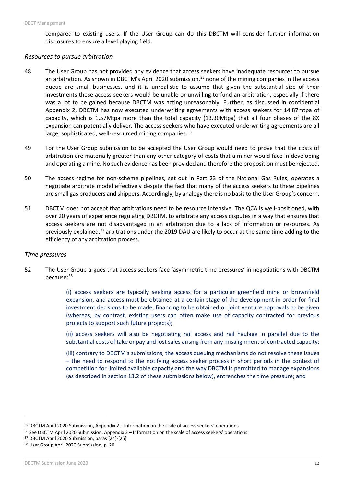compared to existing users. If the User Group can do this DBCTM will consider further information disclosures to ensure a level playing field.

#### *Resources to pursue arbitration*

- 48 The User Group has not provided any evidence that access seekers have inadequate resources to pursue an arbitration. As shown in DBCTM's April 2020 submission, $35$  none of the mining companies in the access queue are small businesses, and it is unrealistic to assume that given the substantial size of their investments these access seekers would be unable or unwilling to fund an arbitration, especially if there was a lot to be gained because DBCTM was acting unreasonably. Further, as discussed in confidential Appendix 2, DBCTM has now executed underwriting agreements with access seekers for 14.87mtpa of capacity, which is 1.57Mtpa more than the total capacity (13.30Mtpa) that all four phases of the 8X expansion can potentially deliver. The access seekers who have executed underwriting agreements are all large, sophisticated, well-resourced mining companies.<sup>[36](#page-11-1)</sup>
- 49 For the User Group submission to be accepted the User Group would need to prove that the costs of arbitration are materially greater than any other category of costs that a miner would face in developing and operating a mine. No such evidence has been provided and therefore the proposition must be rejected.
- 50 The access regime for non-scheme pipelines, set out in Part 23 of the National Gas Rules, operates a negotiate arbitrate model effectively despite the fact that many of the access seekers to these pipelines are small gas producers and shippers. Accordingly, by analogy there is no basis to the User Group's concern.
- 51 DBCTM does not accept that arbitrations need to be resource intensive. The QCA is well-positioned, with over 20 years of experience regulating DBCTM, to arbitrate any access disputes in a way that ensures that access seekers are not disadvantaged in an arbitration due to a lack of information or resources. As previously explained,<sup>[37](#page-11-2)</sup> arbitrations under the 2019 DAU are likely to occur at the same time adding to the efficiency of any arbitration process.

#### *Time pressures*

52 The User Group argues that access seekers face 'asymmetric time pressures' in negotiations with DBCTM because:[38](#page-11-3)

> (i) access seekers are typically seeking access for a particular greenfield mine or brownfield expansion, and access must be obtained at a certain stage of the development in order for final investment decisions to be made, financing to be obtained or joint venture approvals to be given (whereas, by contrast, existing users can often make use of capacity contracted for previous projects to support such future projects);

> (ii) access seekers will also be negotiating rail access and rail haulage in parallel due to the substantial costs of take or pay and lost sales arising from any misalignment of contracted capacity;

> (iii) contrary to DBCTM's submissions, the access queuing mechanisms do not resolve these issues – the need to respond to the notifying access seeker process in short periods in the context of competition for limited available capacity and the way DBCTM is permitted to manage expansions (as described in section 13.2 of these submissions below), entrenches the time pressure; and

<span id="page-11-0"></span><sup>&</sup>lt;sup>35</sup> DBCTM April 2020 Submission, Appendix 2 – Information on the scale of access seekers' operations

<span id="page-11-1"></span><sup>36</sup> See DBCTM April 2020 Submission, Appendix 2 – Information on the scale of access seekers' operations

<span id="page-11-2"></span><sup>37</sup> DBCTM April 2020 Submission, paras [24]-[25]

<span id="page-11-3"></span><sup>38</sup> User Group April 2020 Submission, p. 20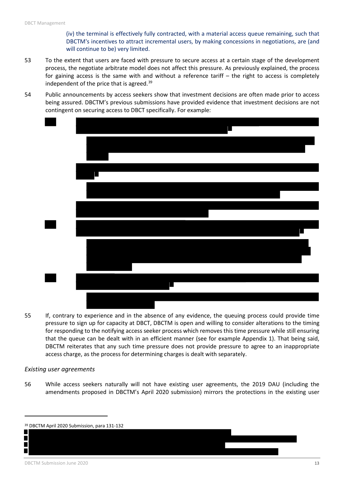(iv) the terminal is effectively fully contracted, with a material access queue remaining, such that DBCTM's incentives to attract incremental users, by making concessions in negotiations, are (and will continue to be) very limited.

- 53 To the extent that users are faced with pressure to secure access at a certain stage of the development process, the negotiate arbitrate model does not affect this pressure. As previously explained, the process for gaining access is the same with and without a reference tariff – the right to access is completely independent of the price that is agreed.<sup>[39](#page-12-0)</sup>
- 54 Public announcements by access seekers show that investment decisions are often made prior to access being assured. DBCTM's previous submissions have provided evidence that investment decisions are not contingent on securing access to DBCT specifically. For example:



55 If, contrary to experience and in the absence of any evidence, the queuing process could provide time pressure to sign up for capacity at DBCT, DBCTM is open and willing to consider alterations to the timing for responding to the notifying access seeker process which removes this time pressure while still ensuring that the queue can be dealt with in an efficient manner (see for example Appendix 1). That being said, DBCTM reiterates that any such time pressure does not provide pressure to agree to an inappropriate access charge, as the process for determining charges is dealt with separately.

#### *Existing user agreements*

56 While access seekers naturally will not have existing user agreements, the 2019 DAU (including the amendments proposed in DBCTM's April 2020 submission) mirrors the protections in the existing user

l

П П

<span id="page-12-0"></span><sup>39</sup> DBCTM April 2020 Submission, para 131-132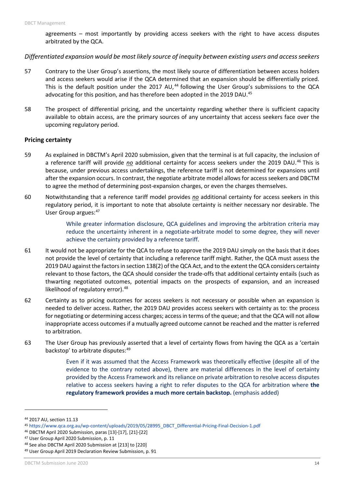agreements – most importantly by providing access seekers with the right to have access disputes arbitrated by the QCA.

#### *Differentiated expansion would be most likely source of inequity between existing users and access seekers*

- 57 Contrary to the User Group's assertions, the most likely source of differentiation between access holders and access seekers would arise if the QCA determined that an expansion should be differentially priced. This is the default position under the 2017 AU,<sup>[44](#page-13-0)</sup> following the User Group's submissions to the QCA advocating for this position, and has therefore been adopted in the 2019 DAU.<sup>45</sup>
- 58 The prospect of differential pricing, and the uncertainty regarding whether there is sufficient capacity available to obtain access, are the primary sources of any uncertainty that access seekers face over the upcoming regulatory period.

#### **Pricing certainty**

- 59 As explained in DBCTM's April 2020 submission, given that the terminal is at full capacity, the inclusion of a reference tariff will provide *no* additional certainty for access seekers under the 2019 DAU.[46](#page-13-2) This is because, under previous access undertakings, the reference tariff is not determined for expansions until after the expansion occurs. In contrast, the negotiate arbitrate model allows for access seekers and DBCTM to agree the method of determining post-expansion charges, or even the charges themselves.
- 60 Notwithstanding that a reference tariff model provides *no* additional certainty for access seekers in this regulatory period, it is important to note that absolute certainty is neither necessary nor desirable. The User Group argues: [47](#page-13-3)

While greater information disclosure, QCA guidelines and improving the arbitration criteria may reduce the uncertainty inherent in a negotiate-arbitrate model to some degree, they will never achieve the certainty provided by a reference tariff.

- 61 It would not be appropriate for the QCA to refuse to approve the 2019 DAU simply on the basis that it does not provide the level of certainty that including a reference tariff might. Rather, the QCA must assess the 2019 DAU against the factors in section 138(2) of the QCA Act, and to the extent the QCA considers certainty relevant to those factors, the QCA should consider the trade-offs that additional certainty entails (such as thwarting negotiated outcomes, potential impacts on the prospects of expansion, and an increased likelihood of regulatory error).<sup>[48](#page-13-4)</sup>
- 62 Certainty as to pricing outcomes for access seekers is not necessary or possible when an expansion is needed to deliver access. Rather, the 2019 DAU provides access seekers with certainty as to: the process for negotiating or determining access charges; access in terms of the queue; and that the QCA will not allow inappropriate access outcomes if a mutually agreed outcome cannot be reached and the matter is referred to arbitration.
- 63 The User Group has previously asserted that a level of certainty flows from having the QCA as a 'certain backstop' to arbitrate disputes: [49](#page-13-5)

Even if it was assumed that the Access Framework was theoretically effective (despite all of the evidence to the contrary noted above), there are material differences in the level of certainty provided by the Access Framework and its reliance on private arbitration to resolve access disputes relative to access seekers having a right to refer disputes to the QCA for arbitration where **the regulatory framework provides a much more certain backstop.** (emphasis added)

<span id="page-13-0"></span><sup>44</sup> 2017 AU, section 11.13

<span id="page-13-1"></span><sup>45</sup> [https://www.qca.org.au/wp-content/uploads/2019/05/28995\\_DBCT\\_Differential-Pricing-Final-Decision-1.pdf](https://www.qca.org.au/wp-content/uploads/2019/05/28995_DBCT_Differential-Pricing-Final-Decision-1.pdf)

<span id="page-13-2"></span><sup>46</sup> DBCTM April 2020 Submission, paras [13]-[17], [21]-[22]

<span id="page-13-3"></span><sup>47</sup> User Group April 2020 Submission, p. 11

<span id="page-13-4"></span><sup>48</sup> See also DBCTM April 2020 Submission at [213] to [220]

<span id="page-13-5"></span><sup>49</sup> User Group April 2019 Declaration Review Submission, p. 91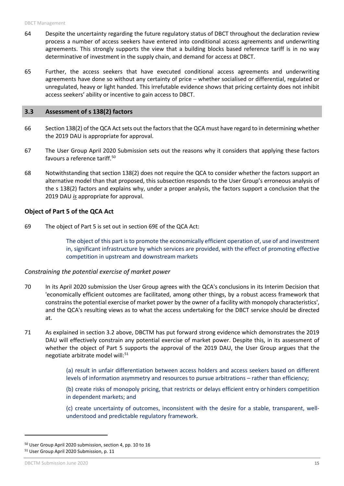- 64 Despite the uncertainty regarding the future regulatory status of DBCT throughout the declaration review process a number of access seekers have entered into conditional access agreements and underwriting agreements. This strongly supports the view that a building blocks based reference tariff is in no way determinative of investment in the supply chain, and demand for access at DBCT.
- 65 Further, the access seekers that have executed conditional access agreements and underwriting agreements have done so without any certainty of price – whether socialised or differential, regulated or unregulated, heavy or light handed. This irrefutable evidence shows that pricing certainty does not inhibit access seekers' ability or incentive to gain access to DBCT.

#### <span id="page-14-0"></span>**3.3 Assessment of s 138(2) factors**

- 66 Section 138(2) of the QCA Act sets out the factors that the QCA must have regard to in determining whether the 2019 DAU is appropriate for approval.
- 67 The User Group April 2020 Submission sets out the reasons why it considers that applying these factors favours a reference tariff.<sup>[50](#page-14-1)</sup>
- 68 Notwithstanding that section 138(2) does not require the QCA to consider whether the factors support an alternative model than that proposed, this subsection responds to the User Group's erroneous analysis of the s 138(2) factors and explains why, under a proper analysis, the factors support a conclusion that the 2019 DAU *is* appropriate for approval.

#### **Object of Part 5 of the QCA Act**

69 The object of Part 5 is set out in section 69E of the QCA Act:

The object of this part is to promote the economically efficient operation of, use of and investment in, significant infrastructure by which services are provided, with the effect of promoting effective competition in upstream and downstream markets

#### *Constraining the potential exercise of market power*

- 70 In its April 2020 submission the User Group agrees with the QCA's conclusions in its Interim Decision that 'economically efficient outcomes are facilitated, among other things, by a robust access framework that constrains the potential exercise of market power by the owner of a facility with monopoly characteristics', and the QCA's resulting views as to what the access undertaking for the DBCT service should be directed at.
- 71 As explained in section 3.2 above, DBCTM has put forward strong evidence which demonstrates the 2019 DAU will effectively constrain any potential exercise of market power. Despite this, in its assessment of whether the object of Part 5 supports the approval of the 2019 DAU, the User Group argues that the negotiate arbitrate model will: [51](#page-14-2)

(a) result in unfair differentiation between access holders and access seekers based on different levels of information asymmetry and resources to pursue arbitrations – rather than efficiency;

(b) create risks of monopoly pricing, that restricts or delays efficient entry orhinders competition in dependent markets; and

(c) create uncertainty of outcomes, inconsistent with the desire for a stable, transparent, wellunderstood and predictable regulatory framework.

<span id="page-14-2"></span><span id="page-14-1"></span><sup>50</sup> User Group April 2020 submission, section 4, pp. 10 to 16 <sup>51</sup> User Group April 2020 Submission, p. 11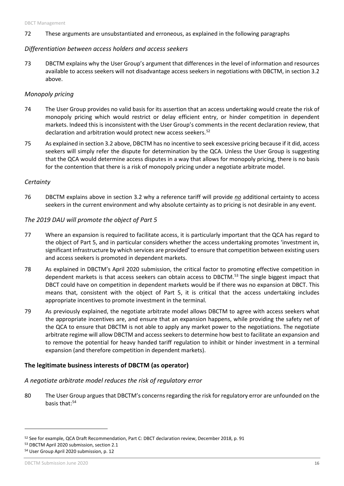72 These arguments are unsubstantiated and erroneous, as explained in the following paragraphs

## *Differentiation between access holders and access seekers*

73 DBCTM explains why the User Group's argument that differences in the level of information and resources available to access seekers will not disadvantage access seekers in negotiations with DBCTM, in section 3.2 above.

## *Monopoly pricing*

- 74 The User Group provides no valid basis for its assertion that an access undertaking would create the risk of monopoly pricing which would restrict or delay efficient entry, or hinder competition in dependent markets. Indeed this is inconsistent with the User Group's comments in the recent declaration review, that declaration and arbitration would protect new access seekers.<sup>[52](#page-15-0)</sup>
- 75 As explained in section 3.2 above, DBCTM has no incentive to seek excessive pricing because if it did, access seekers will simply refer the dispute for determination by the QCA. Unless the User Group is suggesting that the QCA would determine access disputes in a way that allows for monopoly pricing, there is no basis for the contention that there is a risk of monopoly pricing under a negotiate arbitrate model.

## *Certainty*

76 DBCTM explains above in section 3.2 why a reference tariff will provide *no* additional certainty to access seekers in the current environment and why absolute certainty as to pricing is not desirable in any event.

## *The 2019 DAU will promote the object of Part 5*

- 77 Where an expansion is required to facilitate access, it is particularly important that the QCA has regard to the object of Part 5, and in particular considers whether the access undertaking promotes 'investment in, significant infrastructure by which services are provided' to ensure that competition between existing users and access seekers is promoted in dependent markets.
- 78 As explained in DBCTM's April 2020 submission, the critical factor to promoting effective competition in dependent markets is that access seekers can obtain access to DBCTM.<sup>[53](#page-15-1)</sup> The single biggest impact that DBCT could have on competition in dependent markets would be if there was no expansion at DBCT. This means that, consistent with the object of Part 5, it is critical that the access undertaking includes appropriate incentives to promote investment in the terminal.
- 79 As previously explained, the negotiate arbitrate model allows DBCTM to agree with access seekers what the appropriate incentives are, and ensure that an expansion happens, while providing the safety net of the QCA to ensure that DBCTM is not able to apply any market power to the negotiations. The negotiate arbitrate regime will allow DBCTM and access seekers to determine how best to facilitate an expansion and to remove the potential for heavy handed tariff regulation to inhibit or hinder investment in a terminal expansion (and therefore competition in dependent markets).

## **The legitimate business interests of DBCTM (as operator)**

## *A negotiate arbitrate model reduces the risk of regulatory error*

80 The User Group argues that DBCTM's concerns regarding the risk for regulatory error are unfounded on the basis that: [54](#page-15-2)

```
54 User Group April 2020 submission, p. 12
```
 $\overline{a}$ 

<span id="page-15-0"></span><sup>&</sup>lt;sup>52</sup> See for example, QCA Draft Recommendation, Part C: DBCT declaration review, December 2018, p. 91<br><sup>53</sup> DBCTM April 2020 submission, section 2.1

<span id="page-15-1"></span>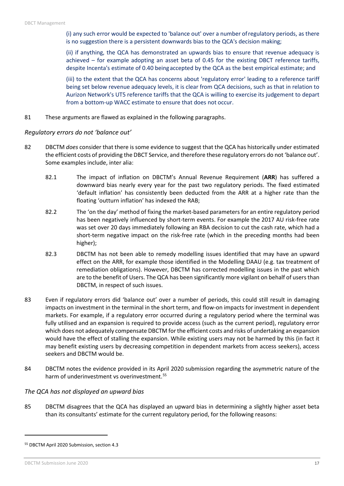(i) any such error would be expected to 'balance out' over a number ofregulatory periods, as there is no suggestion there is a persistent downwards bias to the QCA's decision making;

(ii) if anything, the QCA has demonstrated an upwards bias to ensure that revenue adequacy is achieved – for example adopting an asset beta of 0.45 for the existing DBCT reference tariffs, despite Incenta's estimate of 0.40 beingaccepted by the QCA as the best empirical estimate; and

(iii) to the extent that the QCA has concerns about 'regulatory error' leading to a reference tariff being set below revenue adequacy levels, it is clear from QCA decisions, such as that in relation to Aurizon Network's UT5 reference tariffs that the QCA is willing to exercise its judgement to depart from a bottom-up WACC estimate to ensure that does not occur.

81 These arguments are flawed as explained in the following paragraphs.

## *Regulatory errors do not 'balance out'*

- 82 DBCTM *does* consider that there is some evidence to suggest that the QCA has historically under estimated the efficient costs of providing the DBCT Service, and therefore these regulatory errors do not 'balance out'. Some examples include, inter alia:
	- 82.1 The impact of inflation on DBCTM's Annual Revenue Requirement (**ARR**) has suffered a downward bias nearly every year for the past two regulatory periods. The fixed estimated 'default inflation' has consistently been deducted from the ARR at a higher rate than the floating 'outturn inflation' has indexed the RAB;
	- 82.2 The 'on the day' method of fixing the market-based parameters for an entire regulatory period has been negatively influenced by short-term events. For example the 2017 AU risk-free rate was set over 20 days immediately following an RBA decision to cut the cash rate, which had a short-term negative impact on the risk-free rate (which in the preceding months had been higher);
	- 82.3 DBCTM has not been able to remedy modelling issues identified that may have an upward effect on the ARR, for example those identified in the Modelling DAAU (e.g. tax treatment of remediation obligations). However, DBCTM has corrected modelling issues in the past which are to the benefit of Users. The QCA has been significantly more vigilant on behalf of users than DBCTM, in respect of such issues.
- 83 Even if regulatory errors did 'balance out' over a number of periods, this could still result in damaging impacts on investment in the terminal in the short term, and flow-on impacts for investment in dependent markets. For example, if a regulatory error occurred during a regulatory period where the terminal was fully utilised and an expansion is required to provide access (such as the current period), regulatory error which does not adequately compensate DBCTM for the efficient costs and risks of undertaking an expansion would have the effect of stalling the expansion. While existing users may not be harmed by this (in fact it may benefit existing users by decreasing competition in dependent markets from access seekers), access seekers and DBCTM would be.
- 84 DBCTM notes the evidence provided in its April 2020 submission regarding the asymmetric nature of the harm of underinvestment vs overinvestment.<sup>[55](#page-16-0)</sup>

## *The QCA has not displayed an upward bias*

85 DBCTM disagrees that the QCA has displayed an upward bias in determining a slightly higher asset beta than its consultants' estimate for the current regulatory period, for the following reasons:

<span id="page-16-0"></span><sup>55</sup> DBCTM April 2020 Submission, section 4.3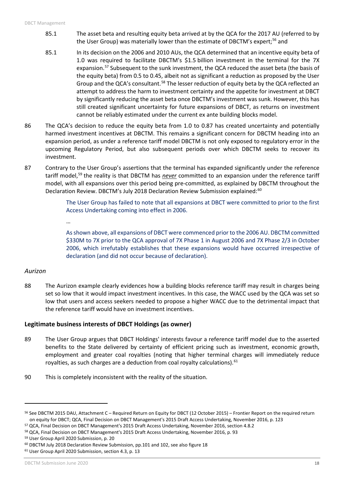- 85.1 The asset beta and resulting equity beta arrived at by the QCA for the 2017 AU (referred to by the User Group) was materially lower than the estimate of DBCTM's expert;<sup>[56](#page-17-0)</sup> and
- 85.1 In its decision on the 2006 and 2010 AUs, the QCA determined that an incentive equity beta of 1.0 was required to facilitate DBCTM's \$1.5 billion investment in the terminal for the 7X expansion.<sup>[57](#page-17-1)</sup> Subsequent to the sunk investment, the QCA reduced the asset beta (the basis of the equity beta) from 0.5 to 0.45, albeit not as significant a reduction as proposed by the User Group and the QCA's consultant.<sup>[58](#page-17-2)</sup> The lesser reduction of equity beta by the QCA reflected an attempt to address the harm to investment certainty and the appetite for investment at DBCT by significantly reducing the asset beta once DBCTM's investment was sunk. However, this has still created significant uncertainty for future expansions of DBCT, as returns on investment cannot be reliably estimated under the current ex ante building blocks model.
- 86 The QCA's decision to reduce the equity beta from 1.0 to 0.87 has created uncertainty and potentially harmed investment incentives at DBCTM. This remains a significant concern for DBCTM heading into an expansion period, as under a reference tariff model DBCTM is not only exposed to regulatory error in the upcoming Regulatory Period, but also subsequent periods over which DBCTM seeks to recover its investment.
- 87 Contrary to the User Group's assertions that the terminal has expanded significantly under the reference tariff model,[59](#page-17-3) the reality is that DBCTM has *never* committed to an expansion under the reference tariff model, with all expansions over this period being pre-committed, as explained by DBCTM throughout the Declaration Review. DBCTM's July 2018 Declaration Review Submission explained:<sup>[60](#page-17-4)</sup>

The User Group has failed to note that all expansions at DBCT were committed to prior to the first Access Undertaking coming into effect in 2006.

…

As shown above, all expansions of DBCT were commenced prior to the 2006 AU. DBCTM committed \$330M to 7X prior to the QCA approval of 7X Phase 1 in August 2006 and 7X Phase 2/3 in October 2006, which irrefutably establishes that these expansions would have occurred irrespective of declaration (and did not occur because of declaration).

## *Aurizon*

 $\overline{a}$ 

88 The Aurizon example clearly evidences how a building blocks reference tariff may result in charges being set so low that it would impact investment incentives. In this case, the WACC used by the QCA was set so low that users and access seekers needed to propose a higher WACC due to the detrimental impact that the reference tariff would have on investment incentives.

## **Legitimate business interests of DBCT Holdings (as owner)**

- 89 The User Group argues that DBCT Holdings' interests favour a reference tariff model due to the asserted benefits to the State delivered by certainty of efficient pricing such as investment, economic growth, employment and greater coal royalties (noting that higher terminal charges will immediately reduce royalties, as such charges are a deduction from coal royalty calculations). <sup>[61](#page-17-5)</sup>
- 90 This is completely inconsistent with the reality of the situation.

<span id="page-17-0"></span><sup>56</sup> See DBCTM 2015 DAU, Attachment C – Required Return on Equity for DBCT (12 October 2015) – Frontier Report on the required return on equity for DBCT; QCA, Final Decision on DBCT Management's 2015 Draft Access Undertaking, November 2016, p. 123

<span id="page-17-1"></span><sup>57</sup> QCA, Final Decision on DBCT Management's 2015 Draft Access Undertaking, November 2016, section 4.8.2

<span id="page-17-2"></span><sup>&</sup>lt;sup>58</sup> QCA, Final Decision on DBCT Management's 2015 Draft Access Undertaking, November 2016, p. 93<br><sup>59</sup> User Group April 2020 Submission, p. 20

<span id="page-17-3"></span>

<span id="page-17-4"></span><sup>60</sup> DBCTM July 2018 Declaration Review Submission, pp.101 and 102, see also figure 18

<span id="page-17-5"></span><sup>61</sup> User Group April 2020 Submission, section 4.3, p. 13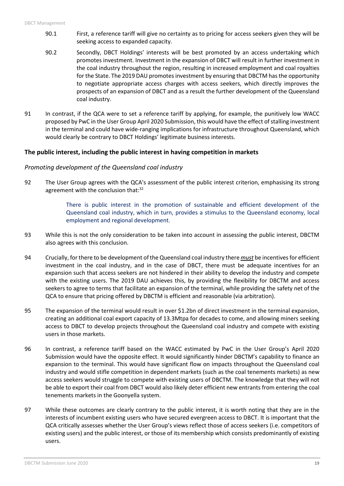- 90.1 First, a reference tariff will give no certainty as to pricing for access seekers given they will be seeking access to expanded capacity.
- 90.2 Secondly, DBCT Holdings' interests will be best promoted by an access undertaking which promotes investment. Investment in the expansion of DBCT will result in further investment in the coal industry throughout the region, resulting in increased employment and coal royalties for the State. The 2019 DAU promotes investment by ensuring that DBCTM has the opportunity to negotiate appropriate access charges with access seekers, which directly improves the prospects of an expansion of DBCT and as a result the further development of the Queensland coal industry.
- 91 In contrast, if the QCA were to set a reference tariff by applying, for example, the punitively low WACC proposed by PwC in the User Group April 2020 Submission, this would have the effect of stalling investment in the terminal and could have wide-ranging implications for infrastructure throughout Queensland, which would clearly be contrary to DBCT Holdings' legitimate business interests.

## **The public interest, including the public interest in having competition in markets**

## *Promoting development of the Queensland coal industry*

92 The User Group agrees with the QCA's assessment of the public interest criterion, emphasising its strong agreement with the conclusion that:<sup>32</sup>

> There is public interest in the promotion of sustainable and efficient development of the Queensland coal industry, which in turn, provides a stimulus to the Queensland economy, local employment and regional development.

- 93 While this is not the only consideration to be taken into account in assessing the public interest, DBCTM also agrees with this conclusion.
- 94 Crucially, for there to be development of the Queensland coal industry there *must* be incentives for efficient investment in the coal industry, and in the case of DBCT, there must be adequate incentives for an expansion such that access seekers are not hindered in their ability to develop the industry and compete with the existing users. The 2019 DAU achieves this, by providing the flexibility for DBCTM and access seekers to agree to terms that facilitate an expansion of the terminal, while providing the safety net of the QCA to ensure that pricing offered by DBCTM is efficient and reasonable (via arbitration).
- 95 The expansion of the terminal would result in over \$1.2bn of direct investment in the terminal expansion, creating an additional coal export capacity of 13.3Mtpa for decades to come, and allowing miners seeking access to DBCT to develop projects throughout the Queensland coal industry and compete with existing users in those markets.
- 96 In contrast, a reference tariff based on the WACC estimated by PwC in the User Group's April 2020 Submission would have the opposite effect. It would significantly hinder DBCTM's capability to finance an expansion to the terminal. This would have significant flow on impacts throughout the Queensland coal industry and would stifle competition in dependent markets (such as the coal tenements markets) as new access seekers would struggle to compete with existing users of DBCTM. The knowledge that they will not be able to export their coal from DBCT would also likely deter efficient new entrants from entering the coal tenements markets in the Goonyella system.
- 97 While these outcomes are clearly contrary to the public interest, it is worth noting that they are in the interests of incumbent existing users who have secured evergreen access to DBCT. It is important that the QCA critically assesses whether the User Group's views reflect those of access seekers (i.e. competitors of existing users) and the public interest, or those of its membership which consists predominantly of existing users.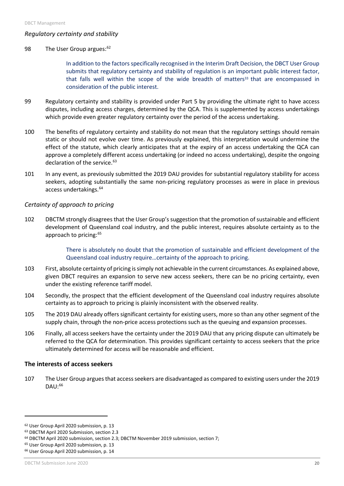## *Regulatory certainty and stability*

#### 98 The User Group argues:<sup>[62](#page-19-0)</sup>

In addition to the factors specifically recognised in the Interim Draft Decision, the DBCT User Group submits that regulatory certainty and stability of regulation is an important public interest factor, that falls well within the scope of the wide breadth of matters $33$  that are encompassed in consideration of the public interest.

- 99 Regulatory certainty and stability is provided under Part 5 by providing the ultimate right to have access disputes, including access charges, determined by the QCA. This is supplemented by access undertakings which provide even greater regulatory certainty over the period of the access undertaking.
- 100 The benefits of regulatory certainty and stability do not mean that the regulatory settings should remain static or should not evolve over time. As previously explained, this interpretation would undermine the effect of the statute, which clearly anticipates that at the expiry of an access undertaking the QCA can approve a completely different access undertaking (or indeed no access undertaking), despite the ongoing declaration of the service.<sup>[63](#page-19-1)</sup>
- 101 In any event, as previously submitted the 2019 DAU provides for substantial regulatory stability for access seekers, adopting substantially the same non-pricing regulatory processes as were in place in previous access undertakings[.64](#page-19-2)

## *Certainty of approach to pricing*

102 DBCTM strongly disagrees that the User Group's suggestion that the promotion of sustainable and efficient development of Queensland coal industry, and the public interest, requires absolute certainty as to the approach to pricing:<sup>[65](#page-19-3)</sup>

> There is absolutely no doubt that the promotion of sustainable and efficient development of the Queensland coal industry require…certainty of the approach to pricing.

- 103 First, absolute certainty of pricing is simply not achievable in the current circumstances. As explained above, given DBCT requires an expansion to serve new access seekers, there can be no pricing certainty, even under the existing reference tariff model.
- 104 Secondly, the prospect that the efficient development of the Queensland coal industry requires absolute certainty as to approach to pricing is plainly inconsistent with the observed reality.
- 105 The 2019 DAU already offers significant certainty for existing users, more so than any other segment of the supply chain, through the non-price access protections such as the queuing and expansion processes.
- 106 Finally, all access seekers have the certainty under the 2019 DAU that any pricing dispute can ultimately be referred to the QCA for determination. This provides significant certainty to access seekers that the price ultimately determined for access will be reasonable and efficient.

## **The interests of access seekers**

107 The User Group argues that access seekers are disadvantaged as compared to existing users under the 2019 DAU:[66](#page-19-4)

<span id="page-19-0"></span><sup>&</sup>lt;sup>62</sup> User Group April 2020 submission, p. 13<br><sup>63</sup> DBCTM April 2020 Submission, section 2.3

<span id="page-19-1"></span>

<span id="page-19-2"></span><sup>&</sup>lt;sup>64</sup> DBCTM April 2020 submission, section 2.3; DBCTM November 2019 submission, section 7;

<span id="page-19-3"></span><sup>&</sup>lt;sup>65</sup> User Group April 2020 submission, p. 13

<span id="page-19-4"></span><sup>66</sup> User Group April 2020 submission, p. 14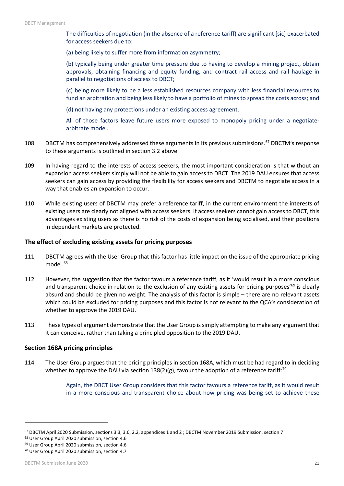The difficulties of negotiation (in the absence of a reference tariff) are significant [sic] exacerbated for access seekers due to:

(a) being likely to suffer more from information asymmetry;

(b) typically being under greater time pressure due to having to develop a mining project, obtain approvals, obtaining financing and equity funding, and contract rail access and rail haulage in parallel to negotiations of access to DBCT;

(c) being more likely to be a less established resources company with less financial resources to fund an arbitration and being less likely to have a portfolio of mines to spread the costs across; and

(d) not having any protections under an existing access agreement.

All of those factors leave future users more exposed to monopoly pricing under a negotiatearbitrate model.

- 108 DBCTM has comprehensively addressed these arguments in its previous submissions.<sup>[67](#page-20-0)</sup> DBCTM's response to these arguments is outlined in section 3.2 above.
- 109 In having regard to the interests of access seekers, the most important consideration is that without an expansion access seekers simply will not be able to gain access to DBCT. The 2019 DAU ensures that access seekers can gain access by providing the flexibility for access seekers and DBCTM to negotiate access in a way that enables an expansion to occur.
- 110 While existing users of DBCTM may prefer a reference tariff, in the current environment the interests of existing users are clearly not aligned with access seekers. If access seekers cannot gain access to DBCT, this advantages existing users as there is no risk of the costs of expansion being socialised, and their positions in dependent markets are protected.

#### **The effect of excluding existing assets for pricing purposes**

- 111 DBCTM agrees with the User Group that this factor has little impact on the issue of the appropriate pricing model.<sup>[68](#page-20-1)</sup>
- 112 However, the suggestion that the factor favours a reference tariff, as it 'would result in a more conscious and transparent choice in relation to the exclusion of any existing assets for pricing purposes'<sup>[69](#page-20-2)</sup> is clearly absurd and should be given no weight. The analysis of this factor is simple – there are no relevant assets which could be excluded for pricing purposes and this factor is not relevant to the QCA's consideration of whether to approve the 2019 DAU.
- 113 These types of argument demonstrate that the User Group is simply attempting to make any argument that it can conceive, rather than taking a principled opposition to the 2019 DAU.

#### **Section 168A pricing principles**

114 The User Group argues that the pricing principles in section 168A, which must be had regard to in deciding whether to approve the DAU via section 138(2)(g), favour the adoption of a reference tariff:<sup>[70](#page-20-3)</sup>

> Again, the DBCT User Group considers that this factor favours a reference tariff, as it would result in a more conscious and transparent choice about how pricing was being set to achieve these

 $\overline{a}$ 

<span id="page-20-0"></span><sup>67</sup> DBCTM April 2020 Submission, sections 3.3, 3.6, 2.2, appendices 1 and 2 ; DBCTM November 2019 Submission, section 7

<span id="page-20-1"></span><sup>68</sup> User Group April 2020 submission, section 4.6

<span id="page-20-2"></span><sup>69</sup> User Group April 2020 submission, section 4.6

<span id="page-20-3"></span><sup>70</sup> User Group April 2020 submission, section 4.7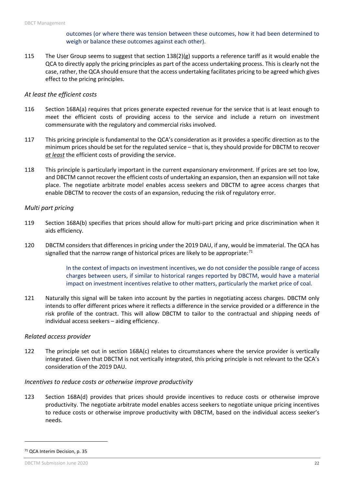outcomes (or where there was tension between these outcomes, how it had been determined to weigh or balance these outcomes against each other).

115 The User Group seems to suggest that section 138(2)(g) supports a reference tariff as it would enable the QCA to directly apply the pricing principles as part of the access undertaking process. This is clearly not the case, rather, the QCA should ensure that the access undertaking facilitates pricing to be agreed which gives effect to the pricing principles.

#### *At least the efficient costs*

- 116 Section 168A(a) requires that prices generate expected revenue for the service that is at least enough to meet the efficient costs of providing access to the service and include a return on investment commensurate with the regulatory and commercial risks involved.
- 117 This pricing principle is fundamental to the QCA's consideration as it provides a specific direction as to the minimum prices should be set for the regulated service – that is, they should provide for DBCTM to recover *at least* the efficient costs of providing the service.
- 118 This principle is particularly important in the current expansionary environment. If prices are set too low, and DBCTM cannot recover the efficient costs of undertaking an expansion, then an expansion will not take place. The negotiate arbitrate model enables access seekers and DBCTM to agree access charges that enable DBCTM to recover the costs of an expansion, reducing the risk of regulatory error.

#### *Multi part pricing*

- 119 Section 168A(b) specifies that prices should allow for multi-part pricing and price discrimination when it aids efficiency.
- 120 DBCTM considers that differences in pricing under the 2019 DAU, if any, would be immaterial. The QCA has signalled that the narrow range of historical prices are likely to be appropriate: $71$

In the context of impacts on investment incentives, we do not consider the possible range of access charges between users, if similar to historical ranges reported by DBCTM, would have a material impact on investment incentives relative to other matters, particularly the market price of coal.

121 Naturally this signal will be taken into account by the parties in negotiating access charges. DBCTM only intends to offer different prices where it reflects a difference in the service provided or a difference in the risk profile of the contract. This will allow DBCTM to tailor to the contractual and shipping needs of individual access seekers – aiding efficiency.

#### *Related access provider*

122 The principle set out in section 168A(c) relates to circumstances where the service provider is vertically integrated. Given that DBCTM is not vertically integrated, this pricing principle is not relevant to the QCA's consideration of the 2019 DAU.

#### *Incentives to reduce costs or otherwise improve productivity*

123 Section 168A(d) provides that prices should provide incentives to reduce costs or otherwise improve productivity. The negotiate arbitrate model enables access seekers to negotiate unique pricing incentives to reduce costs or otherwise improve productivity with DBCTM, based on the individual access seeker's needs.

 $\overline{a}$ 

<span id="page-21-0"></span><sup>71</sup> QCA Interim Decision, p. 35

DBCTM Submission June 2020 22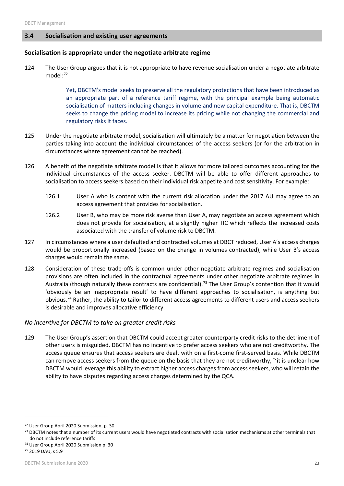#### <span id="page-22-0"></span>**3.4 Socialisation and existing user agreements**

#### **Socialisation is appropriate under the negotiate arbitrate regime**

124 The User Group argues that it is not appropriate to have revenue socialisation under a negotiate arbitrate model[:72](#page-22-1)

> Yet, DBCTM's model seeks to preserve all the regulatory protections that have been introduced as an appropriate part of a reference tariff regime, with the principal example being automatic socialisation of matters including changes in volume and new capital expenditure. That is, DBCTM seeks to change the pricing model to increase its pricing while not changing the commercial and regulatory risks it faces.

- 125 Under the negotiate arbitrate model, socialisation will ultimately be a matter for negotiation between the parties taking into account the individual circumstances of the access seekers (or for the arbitration in circumstances where agreement cannot be reached).
- 126 A benefit of the negotiate arbitrate model is that it allows for more tailored outcomes accounting for the individual circumstances of the access seeker. DBCTM will be able to offer different approaches to socialisation to access seekers based on their individual risk appetite and cost sensitivity. For example:
	- 126.1 User A who is content with the current risk allocation under the 2017 AU may agree to an access agreement that provides for socialisation.
	- 126.2 User B, who may be more risk averse than User A, may negotiate an access agreement which does not provide for socialisation, at a slightly higher TIC which reflects the increased costs associated with the transfer of volume risk to DBCTM.
- 127 In circumstances where a user defaulted and contracted volumes at DBCT reduced, User A's access charges would be proportionally increased (based on the change in volumes contracted), while User B's access charges would remain the same.
- 128 Consideration of these trade-offs is common under other negotiate arbitrate regimes and socialisation provisions are often included in the contractual agreements under other negotiate arbitrate regimes in Australia (though naturally these contracts are confidential).<sup>[73](#page-22-2)</sup> The User Group's contention that it would 'obviously be an inappropriate result' to have different approaches to socialisation, is anything but obvious.<sup>[74](#page-22-3)</sup> Rather, the ability to tailor to different access agreements to different users and access seekers is desirable and improves allocative efficiency.

## *No incentive for DBCTM to take on greater credit risks*

129 The User Group's assertion that DBCTM could accept greater counterparty credit risks to the detriment of other users is misguided. DBCTM has no incentive to prefer access seekers who are not creditworthy. The access queue ensures that access seekers are dealt with on a first-come first-served basis. While DBCTM can remove access seekers from the queue on the basis that they are not creditworthy,<sup>[75](#page-22-4)</sup> it is unclear how DBCTM would leverage this ability to extract higher access charges from access seekers, who will retain the ability to have disputes regarding access charges determined by the QCA.

<span id="page-22-1"></span><sup>72</sup> User Group April 2020 Submission, p. 30

<span id="page-22-2"></span><sup>73</sup> DBCTM notes that a number of its current users would have negotiated contracts with socialisation mechanisms at other terminals that do not include reference tariffs

<span id="page-22-3"></span><sup>74</sup> User Group April 2020 Submission p. 30

<span id="page-22-4"></span><sup>75</sup> 2019 DAU, s 5.9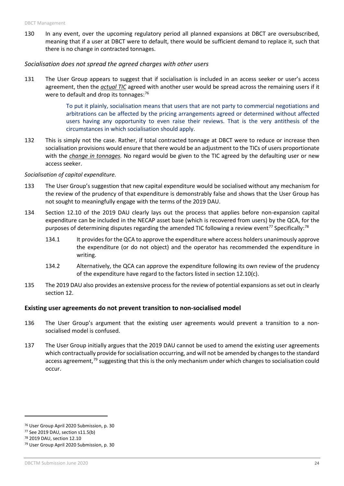130 In any event, over the upcoming regulatory period all planned expansions at DBCT are oversubscribed, meaning that if a user at DBCT were to default, there would be sufficient demand to replace it, such that there is no change in contracted tonnages.

#### *Socialisation does not spread the agreed charges with other users*

131 The User Group appears to suggest that if socialisation is included in an access seeker or user's access agreement, then the *actual TIC* agreed with another user would be spread across the remaining users if it were to default and drop its tonnages: $76$ 

> To put it plainly, socialisation means that users that are not party to commercial negotiations and arbitrations can be affected by the pricing arrangements agreed or determined without affected users having any opportunity to even raise their reviews. That is the very antithesis of the circumstances in which socialisation should apply.

132 This is simply not the case. Rather, if total contracted tonnage at DBCT were to reduce or increase then socialisation provisions would ensure that there would be an adjustment to the TICs of users proportionate with the *change in tonnages.* No regard would be given to the TIC agreed by the defaulting user or new access seeker.

#### *Socialisation of capital expenditure.*

- 133 The User Group's suggestion that new capital expenditure would be socialised without any mechanism for the review of the prudency of that expenditure is demonstrably false and shows that the User Group has not sought to meaningfully engage with the terms of the 2019 DAU.
- 134 Section 12.10 of the 2019 DAU clearly lays out the process that applies before non-expansion capital expenditure can be included in the NECAP asset base (which is recovered from users) by the QCA, for the purposes of determining disputes regarding the amended TIC following a review event<sup>77</sup> Specifically:<sup>[78](#page-23-2)</sup>
	- 134.1 It provides for the QCA to approve the expenditure where access holders unanimously approve the expenditure (or do not object) and the operator has recommended the expenditure in writing.
	- 134.2 Alternatively, the QCA can approve the expenditure following its own review of the prudency of the expenditure have regard to the factors listed in section 12.10(c).
- 135 The 2019 DAU also provides an extensive process for the review of potential expansions as set out in clearly section 12.

## **Existing user agreements do not prevent transition to non-socialised model**

- 136 The User Group's argument that the existing user agreements would prevent a transition to a nonsocialised model is confused.
- 137 The User Group initially argues that the 2019 DAU cannot be used to amend the existing user agreements which contractually provide for socialisation occurring, and will not be amended by changes to the standard access agreement,<sup>[79](#page-23-3)</sup> suggesting that this is the only mechanism under which changes to socialisation could occur.

<span id="page-23-0"></span><sup>76</sup> User Group April 2020 Submission, p. 30

<span id="page-23-1"></span><sup>77</sup> See 2019 DAU, section s11.5(b)

<span id="page-23-2"></span><sup>78</sup> 2019 DAU, section 12.10

<span id="page-23-3"></span><sup>79</sup> User Group April 2020 Submission, p. 30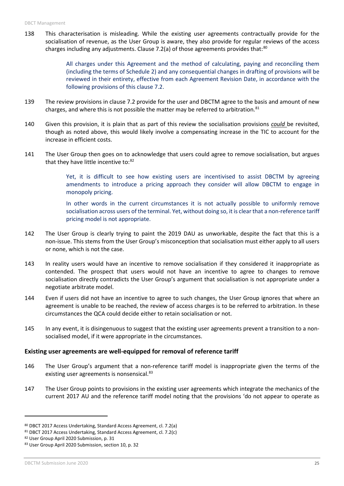138 This characterisation is misleading. While the existing user agreements contractually provide for the socialisation of revenue, as the User Group is aware, they also provide for regular reviews of the access charges including any adjustments. Clause 7.2(a) of those agreements provides that:<sup>[80](#page-24-0)</sup>

> All charges under this Agreement and the method of calculating, paying and reconciling them (including the terms of Schedule 2) and any consequential changes in drafting of provisions will be reviewed in their entirety, effective from each Agreement Revision Date, in accordance with the following provisions of this clause 7.2.

- 139 The review provisions in clause 7.2 provide for the user and DBCTM agree to the basis and amount of new charges, and where this is not possible the matter may be referred to arbitration.<sup>[81](#page-24-1)</sup>
- 140 Given this provision, it is plain that as part of this review the socialisation provisions *could* be revisited, though as noted above, this would likely involve a compensating increase in the TIC to account for the increase in efficient costs.
- 141 The User Group then goes on to acknowledge that users could agree to remove socialisation, but argues that they have little incentive to: $82$

Yet, it is difficult to see how existing users are incentivised to assist DBCTM by agreeing amendments to introduce a pricing approach they consider will allow DBCTM to engage in monopoly pricing.

In other words in the current circumstances it is not actually possible to uniformly remove socialisation across users of the terminal. Yet, without doing so, it is clear that a non-reference tariff pricing model is not appropriate.

- 142 The User Group is clearly trying to paint the 2019 DAU as unworkable, despite the fact that this is a non-issue. This stems from the User Group's misconception that socialisation must either apply to all users or none, which is not the case.
- 143 In reality users would have an incentive to remove socialisation if they considered it inappropriate as contended. The prospect that users would not have an incentive to agree to changes to remove socialisation directly contradicts the User Group's argument that socialisation is not appropriate under a negotiate arbitrate model.
- 144 Even if users did not have an incentive to agree to such changes, the User Group ignores that where an agreement is unable to be reached, the review of access charges is to be referred to arbitration. In these circumstances the QCA could decide either to retain socialisation or not.
- 145 In any event, it is disingenuous to suggest that the existing user agreements prevent a transition to a nonsocialised model, if it were appropriate in the circumstances.

## **Existing user agreements are well-equipped for removal of reference tariff**

- 146 The User Group's argument that a non-reference tariff model is inappropriate given the terms of the existing user agreements is nonsensical.<sup>[83](#page-24-3)</sup>
- 147 The User Group points to provisions in the existing user agreements which integrate the mechanics of the current 2017 AU and the reference tariff model noting that the provisions 'do not appear to operate as

<span id="page-24-0"></span><sup>80</sup> DBCT 2017 Access Undertaking, Standard Access Agreement, cl. 7.2(a)

<span id="page-24-1"></span><sup>81</sup> DBCT 2017 Access Undertaking, Standard Access Agreement, cl. 7.2(c)

<span id="page-24-2"></span><sup>82</sup> User Group April 2020 Submission, p. 31

<span id="page-24-3"></span><sup>83</sup> User Group April 2020 Submission, section 10, p. 32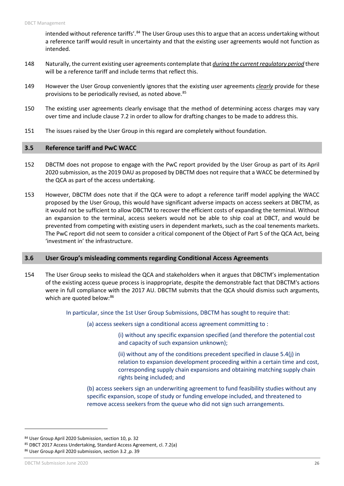intended without reference tariffs'.<sup>[84](#page-25-2)</sup> The User Group uses this to argue that an access undertaking without a reference tariff would result in uncertainty and that the existing user agreements would not function as intended.

- 148 Naturally, the current existing user agreements contemplate that *during the current regulatory period* there will be a reference tariff and include terms that reflect this.
- 149 However the User Group conveniently ignores that the existing user agreements *clearly* provide for these provisions to be periodically revised, as noted above.<sup>[85](#page-25-3)</sup>
- 150 The existing user agreements clearly envisage that the method of determining access charges may vary over time and include clause 7.2 in order to allow for drafting changes to be made to address this.
- 151 The issues raised by the User Group in this regard are completely without foundation.

#### <span id="page-25-0"></span>**3.5 Reference tariff and PwC WACC**

- 152 DBCTM does not propose to engage with the PwC report provided by the User Group as part of its April 2020 submission, as the 2019 DAU as proposed by DBCTM does not require that a WACC be determined by the QCA as part of the access undertaking.
- 153 However, DBCTM does note that if the QCA were to adopt a reference tariff model applying the WACC proposed by the User Group, this would have significant adverse impacts on access seekers at DBCTM, as it would not be sufficient to allow DBCTM to recover the efficient costs of expanding the terminal. Without an expansion to the terminal, access seekers would not be able to ship coal at DBCT, and would be prevented from competing with existing users in dependent markets, such as the coal tenements markets. The PwC report did not seem to consider a critical component of the Object of Part 5 of the QCA Act, being 'investment in' the infrastructure.

#### <span id="page-25-1"></span>**3.6 User Group's misleading comments regarding Conditional Access Agreements**

154 The User Group seeks to mislead the QCA and stakeholders when it argues that DBCTM's implementation of the existing access queue process is inappropriate, despite the demonstrable fact that DBCTM's actions were in full compliance with the 2017 AU. DBCTM submits that the QCA should dismiss such arguments, which are quoted below: 86

In particular, since the 1st User Group Submissions, DBCTM has sought to require that:

(a) access seekers sign a conditional access agreement committing to :

(i) without any specific expansion specified (and therefore the potential cost and capacity of such expansion unknown);

(ii) without any of the conditions precedent specified in clause 5.4(j) in relation to expansion development proceeding within a certain time and cost, corresponding supply chain expansions and obtaining matching supply chain rights being included; and

(b) access seekers sign an underwriting agreement to fund feasibility studies without any specific expansion, scope of study or funding envelope included, and threatened to remove access seekers from the queue who did not sign such arrangements.

 $\overline{a}$ 

<span id="page-25-2"></span><sup>84</sup> User Group April 2020 Submission, section 10, p. 32

<span id="page-25-3"></span><sup>85</sup> DBCT 2017 Access Undertaking, Standard Access Agreement, cl. 7.2(a)

<span id="page-25-4"></span><sup>86</sup> User Group April 2020 submission, section 3.2 ,p. 39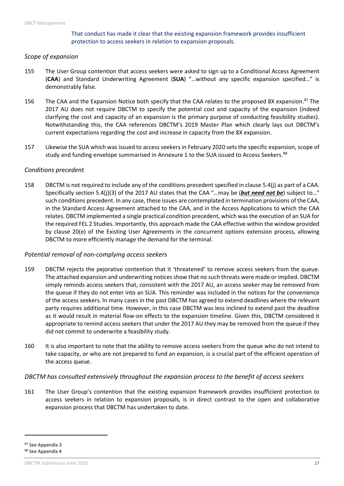## That conduct has made it clear that the existing expansion framework provides insufficient protection to access seekers in relation to expansion proposals.

#### *Scope of expansion*

- 155 The User Group contention that access seekers were asked to sign up to a Conditional Access Agreement (**CAA**) and Standard Underwriting Agreement (**SUA**) "…without any specific expansion specified…" is demonstrably false.
- 156 The CAA and the Expansion Notice both specify that the CAA relates to the proposed 8X expansion.<sup>[87](#page-26-0)</sup> The 2017 AU does not require DBCTM to specify the potential cost and capacity of the expansion (indeed clarifying the cost and capacity of an expansion is the primary purpose of conducting feasibility studies). Notwithstanding this, the CAA references DBCTM's 2019 Master Plan which clearly lays out DBCTM's current expectations regarding the cost and increase in capacity from the 8X expansion.
- 157 Likewise the SUA which was issued to access seekers in February 2020 sets the specific expansion, scope of study and funding envelope summarised in Annexure 1 to the SUA issued to Access Seekers.<sup>[88](#page-26-1)</sup>

#### *Conditions precedent*

158 DBCTM is not required to include any of the conditions precedent specified in clause 5.4(j) as part of a CAA. Specifically section 5.4(j)(3) of the 2017 AU states that the CAA "…may be (*but need not be*) subject to…" such conditions precedent. In any case, these issues are contemplated in termination provisions of the CAA, in the Standard Access Agreement attached to the CAA, and in the Access Applications to which the CAA relates. DBCTM implemented a single practical condition precedent, which was the execution of an SUA for the required FEL 2 Studies. Importantly, this approach made the CAA effective within the window provided by clause 20(e) of the Existing User Agreements in the concurrent options extension process, allowing DBCTM to more efficiently manage the demand for the terminal.

## *Potential removal of non-complying access seekers*

- 159 DBCTM rejects the pejorative contention that it 'threatened' to remove access seekers from the queue. The attached expansion and underwriting notices show that no such threats were made or implied. DBCTM simply reminds access seekers that, consistent with the 2017 AU, an access seeker may be removed from the queue if they do not enter into an SUA. This reminder was included in the notices for the convenience of the access seekers. In many cases in the past DBCTM has agreed to extend deadlines where the relevant party requires additional time. However, in this case DBCTM was less inclined to extend past the deadline as it would result in material flow-on effects to the expansion timeline. Given this, DBCTM considered it appropriate to remind access seekers that under the 2017 AU they may be removed from the queue if they did not commit to underwrite a feasibility study.
- 160 It is also important to note that the ability to remove access seekers from the queue who do not intend to take capacity, or who are not prepared to fund an expansion, is a crucial part of the efficient operation of the access queue.

#### *DBCTM has consulted extensively throughout the expansion process to the benefit of access seekers*

161 The User Group's contention that the existing expansion framework provides insufficient protection to access seekers in relation to expansion proposals, is in direct contrast to the open and collaborative expansion process that DBCTM has undertaken to date.

<span id="page-26-1"></span><span id="page-26-0"></span><sup>87</sup> See Appendix 3 <sup>88</sup> See Appendix 4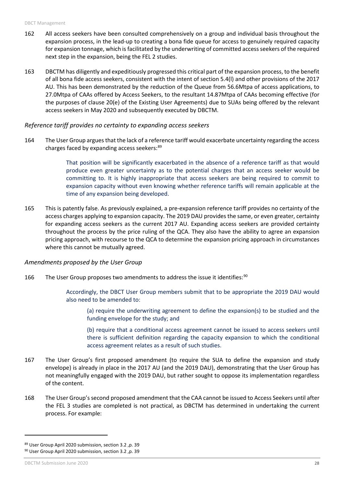- 162 All access seekers have been consulted comprehensively on a group and individual basis throughout the expansion process, in the lead-up to creating a bona fide queue for access to genuinely required capacity for expansion tonnage, which is facilitated by the underwriting of committed access seekers of the required next step in the expansion, being the FEL 2 studies.
- 163 DBCTM has diligently and expeditiously progressed this critical part of the expansion process, to the benefit of all bona fide access seekers, consistent with the intent of section 5.4(l) and other provisions of the 2017 AU. This has been demonstrated by the reduction of the Queue from 56.6Mtpa of access applications, to 27.0Mtpa of CAAs offered by Access Seekers, to the resultant 14.87Mtpa of CAAs becoming effective (for the purposes of clause 20(e) of the Existing User Agreements) due to SUAs being offered by the relevant access seekers in May 2020 and subsequently executed by DBCTM.

#### *Reference tariff provides no certainty to expanding access seekers*

164 The User Group arguesthat the lack of a reference tariff would exacerbate uncertainty regarding the access charges faced by expanding access seekers:<sup>[89](#page-27-0)</sup>

> That position will be significantly exacerbated in the absence of a reference tariff as that would produce even greater uncertainty as to the potential charges that an access seeker would be committing to. It is highly inappropriate that access seekers are being required to commit to expansion capacity without even knowing whether reference tariffs will remain applicable at the time of any expansion being developed.

165 This is patently false. As previously explained, a pre-expansion reference tariff provides no certainty of the access charges applying to expansion capacity. The 2019 DAU provides the same, or even greater, certainty for expanding access seekers as the current 2017 AU. Expanding access seekers are provided certainty throughout the process by the price ruling of the QCA. They also have the ability to agree an expansion pricing approach, with recourse to the QCA to determine the expansion pricing approach in circumstances where this cannot be mutually agreed.

#### *Amendments proposed by the User Group*

166 The User Group proposes two amendments to address the issue it identifies:<sup>[90](#page-27-1)</sup>

Accordingly, the DBCT User Group members submit that to be appropriate the 2019 DAU would also need to be amended to:

(a) require the underwriting agreement to define the expansion(s) to be studied and the funding envelope for the study; and

(b) require that a conditional access agreement cannot be issued to access seekers until there is sufficient definition regarding the capacity expansion to which the conditional access agreement relates as a result of such studies.

- 167 The User Group's first proposed amendment (to require the SUA to define the expansion and study envelope) is already in place in the 2017 AU (and the 2019 DAU), demonstrating that the User Group has not meaningfully engaged with the 2019 DAU, but rather sought to oppose its implementation regardless of the content.
- 168 The User Group's second proposed amendment that the CAA cannot be issued to Access Seekers until after the FEL 3 studies are completed is not practical, as DBCTM has determined in undertaking the current process. For example:

<span id="page-27-1"></span><span id="page-27-0"></span><sup>89</sup> User Group April 2020 submission, section 3.2 ,p. 39 <sup>90</sup> User Group April 2020 submission, section 3.2 ,p. 39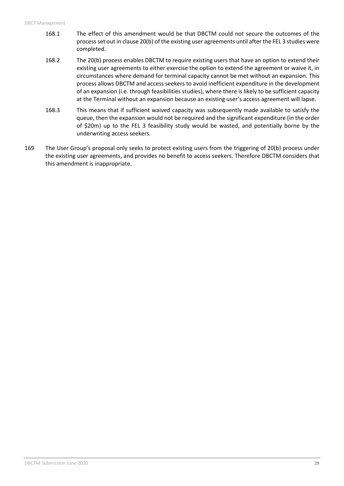- 168.1 The effect of this amendment would be that DBCTM could not secure the outcomes of the process set out in clause 20(b) of the existing user agreements until after the FEL 3 studies were completed.
- 168.2 The 20(b) process enables DBCTM to require existing users that have an option to extend their existing user agreements to either exercise the option to extend the agreement or waive it, in circumstances where demand for terminal capacity cannot be met without an expansion. This process allows DBCTM and access seekers to avoid inefficient expenditure in the development of an expansion (i.e. through feasibilities studies), where there is likely to be sufficient capacity at the Terminal without an expansion because an existing user's access agreement will lapse.
- 168.3 This means that if sufficient waived capacity was subsequently made available to satisfy the queue, then the expansion would not be required and the significant expenditure (in the order of \$20m) up to the FEL 3 feasibility study would be wasted, and potentially borne by the underwriting access seekers.
- 169 The User Group's proposal only seeks to protect existing users from the triggering of 20(b) process under the existing user agreements, and provides no benefit to access seekers. Therefore DBCTM considers that this amendment is inappropriate.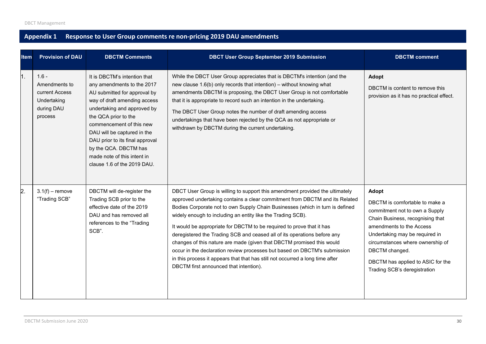## **Appendix 1 Response to User Group comments re non-pricing 2019 DAU amendments**

<span id="page-29-0"></span>

| <b>Item</b> | <b>Provision of DAU</b>                                                            | <b>DBCTM Comments</b>                                                                                                                                                                                                                                                                                                                                                  | <b>DBCT User Group September 2019 Submission</b>                                                                                                                                                                                                                                                                                                                                                                                                                                                                                                                                                                                                                                                                                                  | <b>DBCTM</b> comment                                                                                                                                                                                                                                                                                   |
|-------------|------------------------------------------------------------------------------------|------------------------------------------------------------------------------------------------------------------------------------------------------------------------------------------------------------------------------------------------------------------------------------------------------------------------------------------------------------------------|---------------------------------------------------------------------------------------------------------------------------------------------------------------------------------------------------------------------------------------------------------------------------------------------------------------------------------------------------------------------------------------------------------------------------------------------------------------------------------------------------------------------------------------------------------------------------------------------------------------------------------------------------------------------------------------------------------------------------------------------------|--------------------------------------------------------------------------------------------------------------------------------------------------------------------------------------------------------------------------------------------------------------------------------------------------------|
|             | $1.6 -$<br>Amendments to<br>current Access<br>Undertaking<br>during DAU<br>process | It is DBCTM's intention that<br>any amendments to the 2017<br>AU submitted for approval by<br>way of draft amending access<br>undertaking and approved by<br>the QCA prior to the<br>commencement of this new<br>DAU will be captured in the<br>DAU prior to its final approval<br>by the QCA. DBCTM has<br>made note of this intent in<br>clause 1.6 of the 2019 DAU. | While the DBCT User Group appreciates that is DBCTM's intention (and the<br>new clause 1.6(b) only records that intention) - without knowing what<br>amendments DBCTM is proposing, the DBCT User Group is not comfortable<br>that it is appropriate to record such an intention in the undertaking.<br>The DBCT User Group notes the number of draft amending access<br>undertakings that have been rejected by the QCA as not appropriate or<br>withdrawn by DBCTM during the current undertaking.                                                                                                                                                                                                                                              | Adopt<br>DBCTM is content to remove this<br>provision as it has no practical effect.                                                                                                                                                                                                                   |
| 2.          | $3.1(f)$ – remove<br>"Trading SCB"                                                 | DBCTM will de-register the<br>Trading SCB prior to the<br>effective date of the 2019<br>DAU and has removed all<br>references to the "Trading<br>SCB".                                                                                                                                                                                                                 | DBCT User Group is willing to support this amendment provided the ultimately<br>approved undertaking contains a clear commitment from DBCTM and its Related<br>Bodies Corporate not to own Supply Chain Businesses (which in turn is defined<br>widely enough to including an entity like the Trading SCB).<br>It would be appropriate for DBCTM to be required to prove that it has<br>deregistered the Trading SCB and ceased all of its operations before any<br>changes of this nature are made (given that DBCTM promised this would<br>occur in the declaration review processes but based on DBCTM's submission<br>in this process it appears that that has still not occurred a long time after<br>DBCTM first announced that intention). | Adopt<br>DBCTM is comfortable to make a<br>commitment not to own a Supply<br>Chain Business, recognising that<br>amendments to the Access<br>Undertaking may be required in<br>circumstances where ownership of<br>DBCTM changed.<br>DBCTM has applied to ASIC for the<br>Trading SCB's deregistration |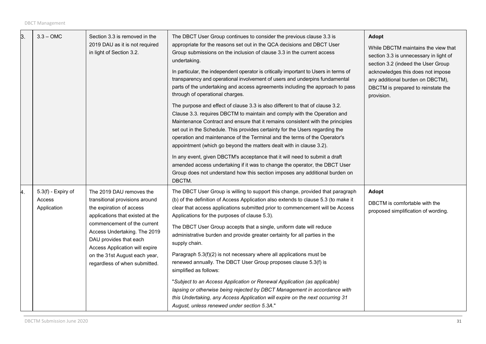| 3. | $3.3 - OMC$                                 | Section 3.3 is removed in the<br>2019 DAU as it is not required<br>in light of Section 3.2.                                                                                                                                                                                                                             | The DBCT User Group continues to consider the previous clause 3.3 is<br>appropriate for the reasons set out in the QCA decisions and DBCT User<br>Group submissions on the inclusion of clause 3.3 in the current access<br>undertaking.<br>In particular, the independent operator is critically important to Users in terms of<br>transparency and operational involvement of users and underpins fundamental<br>parts of the undertaking and access agreements including the approach to pass<br>through of operational charges.<br>The purpose and effect of clause 3.3 is also different to that of clause 3.2.<br>Clause 3.3. requires DBCTM to maintain and comply with the Operation and<br>Maintenance Contract and ensure that it remains consistent with the principles<br>set out in the Schedule. This provides certainty for the Users regarding the<br>operation and maintenance of the Terminal and the terms of the Operator's<br>appointment (which go beyond the matters dealt with in clause 3.2).<br>In any event, given DBCTM's acceptance that it will need to submit a draft<br>amended access undertaking if it was to change the operator, the DBCT User<br>Group does not understand how this section imposes any additional burden on<br>DBCTM. | <b>Adopt</b><br>While DBCTM maintains the view that<br>section 3.3 is unnecessary in light of<br>section 3.2 (indeed the User Group<br>acknowledges this does not impose<br>any additional burden on DBCTM),<br>DBCTM is prepared to reinstate the<br>provision. |
|----|---------------------------------------------|-------------------------------------------------------------------------------------------------------------------------------------------------------------------------------------------------------------------------------------------------------------------------------------------------------------------------|-----------------------------------------------------------------------------------------------------------------------------------------------------------------------------------------------------------------------------------------------------------------------------------------------------------------------------------------------------------------------------------------------------------------------------------------------------------------------------------------------------------------------------------------------------------------------------------------------------------------------------------------------------------------------------------------------------------------------------------------------------------------------------------------------------------------------------------------------------------------------------------------------------------------------------------------------------------------------------------------------------------------------------------------------------------------------------------------------------------------------------------------------------------------------------------------------------------------------------------------------------------------------------|------------------------------------------------------------------------------------------------------------------------------------------------------------------------------------------------------------------------------------------------------------------|
| 4. | 5.3(f) - Expiry of<br>Access<br>Application | The 2019 DAU removes the<br>transitional provisions around<br>the expiration of access<br>applications that existed at the<br>commencement of the current<br>Access Undertaking. The 2019<br>DAU provides that each<br>Access Application will expire<br>on the 31st August each year,<br>regardless of when submitted. | The DBCT User Group is willing to support this change, provided that paragraph<br>(b) of the definition of Access Application also extends to clause 5.3 (to make it<br>clear that access applications submitted prior to commencement will be Access<br>Applications for the purposes of clause 5.3).<br>The DBCT User Group accepts that a single, uniform date will reduce<br>administrative burden and provide greater certainty for all parties in the<br>supply chain.<br>Paragraph 5.3(f)(2) is not necessary where all applications must be<br>renewed annually. The DBCT User Group proposes clause 5.3(f) is<br>simplified as follows:<br>"Subject to an Access Application or Renewal Application (as applicable)<br>lapsing or otherwise being rejected by DBCT Management in accordance with<br>this Undertaking, any Access Application will expire on the next occurring 31<br>August, unless renewed under section 5.3A."                                                                                                                                                                                                                                                                                                                                   | <b>Adopt</b><br>DBCTM is comfortable with the<br>proposed simplification of wording.                                                                                                                                                                             |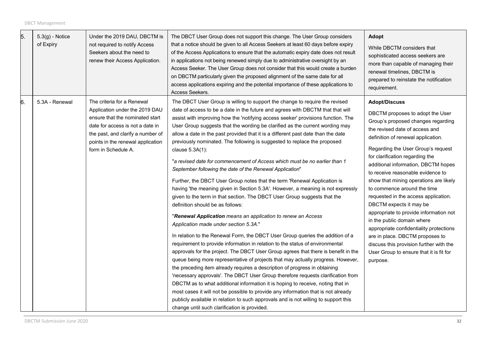| 5. | $5.3(g)$ - Notice<br>of Expiry | Under the 2019 DAU, DBCTM is<br>not required to notify Access<br>Seekers about the need to<br>renew their Access Application.                                                                                                        | The DBCT User Group does not support this change. The User Group considers<br>that a notice should be given to all Access Seekers at least 60 days before expiry<br>of the Access Applications to ensure that the automatic expiry date does not result<br>in applications not being renewed simply due to administrative oversight by an<br>Access Seeker. The User Group does not consider that this would create a burden<br>on DBCTM particularly given the proposed alignment of the same date for all<br>access applications expiring and the potential importance of these applications to<br>Access Seekers.                                                                                                                                                                                                                                                                                                                                                                                                                                                                                                                                                                                                                                                                                                                                                                                                                                                                                                                                                                                                                                                                                                                                                                                                                                                                 | Adopt<br>While DBCTM considers that<br>sophisticated access seekers are<br>more than capable of managing their<br>renewal timelines, DBCTM is<br>prepared to reinstate the notification<br>requirement.                                                                                                                                                                                                                                                                                                                                                                                                                                                                                                                         |
|----|--------------------------------|--------------------------------------------------------------------------------------------------------------------------------------------------------------------------------------------------------------------------------------|--------------------------------------------------------------------------------------------------------------------------------------------------------------------------------------------------------------------------------------------------------------------------------------------------------------------------------------------------------------------------------------------------------------------------------------------------------------------------------------------------------------------------------------------------------------------------------------------------------------------------------------------------------------------------------------------------------------------------------------------------------------------------------------------------------------------------------------------------------------------------------------------------------------------------------------------------------------------------------------------------------------------------------------------------------------------------------------------------------------------------------------------------------------------------------------------------------------------------------------------------------------------------------------------------------------------------------------------------------------------------------------------------------------------------------------------------------------------------------------------------------------------------------------------------------------------------------------------------------------------------------------------------------------------------------------------------------------------------------------------------------------------------------------------------------------------------------------------------------------------------------------|---------------------------------------------------------------------------------------------------------------------------------------------------------------------------------------------------------------------------------------------------------------------------------------------------------------------------------------------------------------------------------------------------------------------------------------------------------------------------------------------------------------------------------------------------------------------------------------------------------------------------------------------------------------------------------------------------------------------------------|
| 6. | 5.3A - Renewal                 | The criteria for a Renewal<br>Application under the 2019 DAU<br>ensure that the nominated start<br>date for access is not a date in<br>the past, and clarify a number of<br>points in the renewal application<br>form in Schedule A. | The DBCT User Group is willing to support the change to require the revised<br>date of access to be a date in the future and agrees with DBCTM that that will<br>assist with improving how the 'notifying access seeker' provisions function. The<br>User Group suggests that the wording be clarified as the current wording may<br>allow a date in the past provided that it is a different past date than the date<br>previously nominated. The following is suggested to replace the proposed<br>clause 5.3A(1):<br>"a revised date for commencement of Access which must be no earlier than 1<br>September following the date of the Renewal Application"<br>Further, the DBCT User Group notes that the term 'Renewal Application is<br>having 'the meaning given in Section 5.3A'. However, a meaning is not expressly<br>given to the term in that section. The DBCT User Group suggests that the<br>definition should be as follows:<br>"Renewal Application means an application to renew an Access<br>Application made under section 5.3A."<br>In relation to the Renewal Form, the DBCT User Group queries the addition of a<br>requirement to provide information in relation to the status of environmental<br>approvals for the project. The DBCT User Group agrees that there is benefit in the<br>queue being more representative of projects that may actually progress. However,<br>the preceding item already requires a description of progress in obtaining<br>'necessary approvals'. The DBCT User Group therefore requests clarification from<br>DBCTM as to what additional information it is hoping to receive, noting that in<br>most cases it will not be possible to provide any information that is not already<br>publicly available in relation to such approvals and is not willing to support this<br>change until such clarification is provided. | <b>Adopt/Discuss</b><br>DBCTM proposes to adopt the User<br>Group's proposed changes regarding<br>the revised date of access and<br>definition of renewal application.<br>Regarding the User Group's request<br>for clarification regarding the<br>additional information, DBCTM hopes<br>to receive reasonable evidence to<br>show that mining operations are likely<br>to commence around the time<br>requested in the access application.<br>DBCTM expects it may be<br>appropriate to provide information not<br>in the public domain where<br>appropriate confidentiality protections<br>are in place. DBCTM proposes to<br>discuss this provision further with the<br>User Group to ensure that it is fit for<br>purpose. |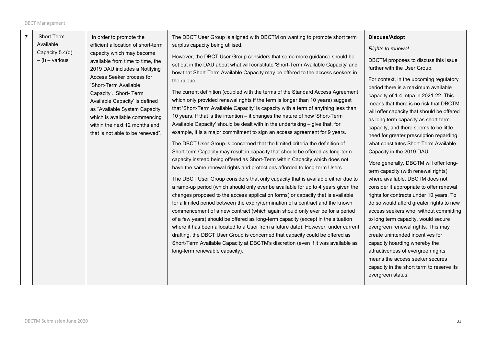| $\overline{7}$ | Short Term<br>Available<br>Capacity 5.4(d)<br>$-$ (i) – various | In order to promote the<br>efficient allocation of short-term<br>capacity which may become<br>available from time to time, the<br>2019 DAU includes a Notifying<br>Access Seeker process for<br>'Short-Term Available<br>Capacity'. 'Short- Term<br>Available Capacity' is defined<br>as "Available System Capacity<br>which is available commencing<br>within the next 12 months and<br>that is not able to be renewed". | The DBCT User Group is aligned with DBCTM on wanting to promote short term<br>surplus capacity being utilised.<br>However, the DBCT User Group considers that some more guidance should be<br>set out in the DAU about what will constitute 'Short-Term Available Capacity' and<br>how that Short-Term Available Capacity may be offered to the access seekers in<br>the queue.<br>The current definition (coupled with the terms of the Standard Access Agreement<br>which only provided renewal rights if the term is longer than 10 years) suggest<br>that 'Short-Term Available Capacity' is capacity with a term of anything less than<br>10 years. If that is the intention - it changes the nature of how 'Short-Term<br>Available Capacity' should be dealt with in the undertaking – give that, for<br>example, it is a major commitment to sign an access agreement for 9 years.<br>The DBCT User Group is concerned that the limited criteria the definition of<br>Short-term Capacity may result in capacity that should be offered as long-term<br>capacity instead being offered as Short-Term within Capacity which does not<br>have the same renewal rights and protections afforded to long-term Users.<br>The DBCT User Group considers that only capacity that is available either due to<br>a ramp-up period (which should only ever be available for up to 4 years given the<br>changes proposed to the access application forms) or capacity that is available<br>for a limited period between the expiry/termination of a contract and the known<br>commencement of a new contract (which again should only ever be for a period<br>of a few years) should be offered as long-term capacity (except in the situation<br>where it has been allocated to a User from a future date). However, under current<br>drafting, the DBCT User Group is concerned that capacity could be offered as<br>Short-Term Available Capacity at DBCTM's discretion (even if it was available as<br>long-term renewable capacity). | <b>Discuss/Adopt</b><br>Rights to renewal<br>DBCTM proposes to discuss this issue<br>further with the User Group.<br>For context, in the upcoming regulatory<br>period there is a maximum available<br>capacity of 1.4 mtpa in 2021-22. This<br>means that there is no risk that DBCTM<br>will offer capacity that should be offered<br>as long term capacity as short-term<br>capacity, and there seems to be little<br>need for greater prescription regarding<br>what constitutes Short-Term Available<br>Capacity in the 2019 DAU.<br>More generally, DBCTM will offer long-<br>term capacity (with renewal rights)<br>where available. DBCTM does not<br>consider it appropriate to offer renewal<br>rights for contracts under 10 years. To<br>do so would afford greater rights to new<br>access seekers who, without committing<br>to long term capacity, would secure<br>evergreen renewal rights. This may<br>create unintended incentives for<br>capacity hoarding whereby the<br>attractiveness of evergreen rights<br>means the access seeker secures<br>capacity in the short term to reserve its<br>evergreen status. |
|----------------|-----------------------------------------------------------------|---------------------------------------------------------------------------------------------------------------------------------------------------------------------------------------------------------------------------------------------------------------------------------------------------------------------------------------------------------------------------------------------------------------------------|----------------------------------------------------------------------------------------------------------------------------------------------------------------------------------------------------------------------------------------------------------------------------------------------------------------------------------------------------------------------------------------------------------------------------------------------------------------------------------------------------------------------------------------------------------------------------------------------------------------------------------------------------------------------------------------------------------------------------------------------------------------------------------------------------------------------------------------------------------------------------------------------------------------------------------------------------------------------------------------------------------------------------------------------------------------------------------------------------------------------------------------------------------------------------------------------------------------------------------------------------------------------------------------------------------------------------------------------------------------------------------------------------------------------------------------------------------------------------------------------------------------------------------------------------------------------------------------------------------------------------------------------------------------------------------------------------------------------------------------------------------------------------------------------------------------------------------------------------------------------------------------------------------------------------------------------------------------------------------------------------------------------------------------|--------------------------------------------------------------------------------------------------------------------------------------------------------------------------------------------------------------------------------------------------------------------------------------------------------------------------------------------------------------------------------------------------------------------------------------------------------------------------------------------------------------------------------------------------------------------------------------------------------------------------------------------------------------------------------------------------------------------------------------------------------------------------------------------------------------------------------------------------------------------------------------------------------------------------------------------------------------------------------------------------------------------------------------------------------------------------------------------------------------------------------------|
|----------------|-----------------------------------------------------------------|---------------------------------------------------------------------------------------------------------------------------------------------------------------------------------------------------------------------------------------------------------------------------------------------------------------------------------------------------------------------------------------------------------------------------|----------------------------------------------------------------------------------------------------------------------------------------------------------------------------------------------------------------------------------------------------------------------------------------------------------------------------------------------------------------------------------------------------------------------------------------------------------------------------------------------------------------------------------------------------------------------------------------------------------------------------------------------------------------------------------------------------------------------------------------------------------------------------------------------------------------------------------------------------------------------------------------------------------------------------------------------------------------------------------------------------------------------------------------------------------------------------------------------------------------------------------------------------------------------------------------------------------------------------------------------------------------------------------------------------------------------------------------------------------------------------------------------------------------------------------------------------------------------------------------------------------------------------------------------------------------------------------------------------------------------------------------------------------------------------------------------------------------------------------------------------------------------------------------------------------------------------------------------------------------------------------------------------------------------------------------------------------------------------------------------------------------------------------------|--------------------------------------------------------------------------------------------------------------------------------------------------------------------------------------------------------------------------------------------------------------------------------------------------------------------------------------------------------------------------------------------------------------------------------------------------------------------------------------------------------------------------------------------------------------------------------------------------------------------------------------------------------------------------------------------------------------------------------------------------------------------------------------------------------------------------------------------------------------------------------------------------------------------------------------------------------------------------------------------------------------------------------------------------------------------------------------------------------------------------------------|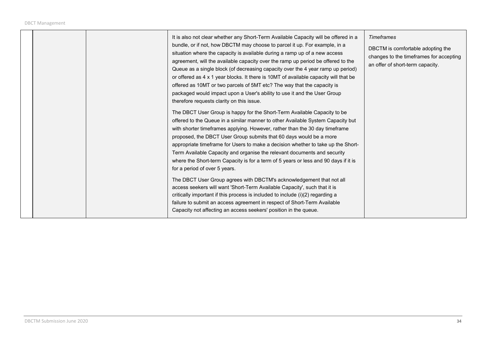|  | It is also not clear whether any Short-Term Available Capacity will be offered in a<br>bundle, or if not, how DBCTM may choose to parcel it up. For example, in a<br>situation where the capacity is available during a ramp up of a new access<br>agreement, will the available capacity over the ramp up period be offered to the<br>Queue as a single block (of decreasing capacity over the 4 year ramp up period)<br>or offered as 4 x 1 year blocks. It there is 10MT of available capacity will that be<br>offered as 10MT or two parcels of 5MT etc? The way that the capacity is<br>packaged would impact upon a User's ability to use it and the User Group<br>therefore requests clarity on this issue. | Timeframes<br>DBCTM is comfortable adopting the<br>changes to the timeframes for accepting<br>an offer of short-term capacity. |
|--|--------------------------------------------------------------------------------------------------------------------------------------------------------------------------------------------------------------------------------------------------------------------------------------------------------------------------------------------------------------------------------------------------------------------------------------------------------------------------------------------------------------------------------------------------------------------------------------------------------------------------------------------------------------------------------------------------------------------|--------------------------------------------------------------------------------------------------------------------------------|
|  | The DBCT User Group is happy for the Short-Term Available Capacity to be<br>offered to the Queue in a similar manner to other Available System Capacity but<br>with shorter timeframes applying. However, rather than the 30 day timeframe<br>proposed, the DBCT User Group submits that 60 days would be a more<br>appropriate timeframe for Users to make a decision whether to take up the Short-<br>Term Available Capacity and organise the relevant documents and security<br>where the Short-term Capacity is for a term of 5 years or less and 90 days if it is<br>for a period of over 5 years.                                                                                                           |                                                                                                                                |
|  | The DBCT User Group agrees with DBCTM's acknowledgement that not all<br>access seekers will want 'Short-Term Available Capacity', such that it is<br>critically important if this process is included to include (i)(2) regarding a<br>failure to submit an access agreement in respect of Short-Term Available<br>Capacity not affecting an access seekers' position in the queue.                                                                                                                                                                                                                                                                                                                                |                                                                                                                                |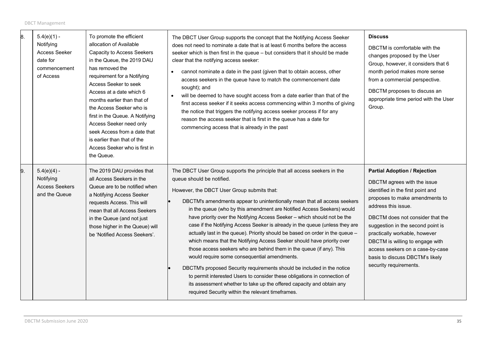| 8. | $5.4(e)(1) -$<br>Notifying<br><b>Access Seeker</b><br>date for<br>commencement<br>of Access | To promote the efficient<br>allocation of Available<br>Capacity to Access Seekers<br>in the Queue, the 2019 DAU<br>has removed the<br>requirement for a Notifying<br>Access Seeker to seek<br>Access at a date which 6<br>months earlier than that of<br>the Access Seeker who is<br>first in the Queue. A Notifying<br>Access Seeker need only<br>seek Access from a date that<br>is earlier than that of the<br>Access Seeker who is first in<br>the Queue. | The DBCT User Group supports the concept that the Notifying Access Seeker<br>does not need to nominate a date that is at least 6 months before the access<br>seeker which is then first in the queue - but considers that it should be made<br>clear that the notifying access seeker:<br>cannot nominate a date in the past (given that to obtain access, other<br>$\bullet$<br>access seekers in the queue have to match the commencement date<br>sought); and<br>will be deemed to have sought access from a date earlier than that of the<br>first access seeker if it seeks access commencing within 3 months of giving<br>the notice that triggers the notifying access seeker process if for any<br>reason the access seeker that is first in the queue has a date for<br>commencing access that is already in the past                                                                                                                                                                                                                   | <b>Discuss</b><br>DBCTM is comfortable with the<br>changes proposed by the User<br>Group, however, it considers that 6<br>month period makes more sense<br>from a commercial perspective.<br>DBCTM proposes to discuss an<br>appropriate time period with the User<br>Group.                                                                                                                                   |
|----|---------------------------------------------------------------------------------------------|---------------------------------------------------------------------------------------------------------------------------------------------------------------------------------------------------------------------------------------------------------------------------------------------------------------------------------------------------------------------------------------------------------------------------------------------------------------|--------------------------------------------------------------------------------------------------------------------------------------------------------------------------------------------------------------------------------------------------------------------------------------------------------------------------------------------------------------------------------------------------------------------------------------------------------------------------------------------------------------------------------------------------------------------------------------------------------------------------------------------------------------------------------------------------------------------------------------------------------------------------------------------------------------------------------------------------------------------------------------------------------------------------------------------------------------------------------------------------------------------------------------------------|----------------------------------------------------------------------------------------------------------------------------------------------------------------------------------------------------------------------------------------------------------------------------------------------------------------------------------------------------------------------------------------------------------------|
| 9. | $5.4(e)(4) -$<br>Notifying<br><b>Access Seekers</b><br>and the Queue                        | The 2019 DAU provides that<br>all Access Seekers in the<br>Queue are to be notified when<br>a Notifying Access Seeker<br>requests Access. This will<br>mean that all Access Seekers<br>in the Queue (and not just<br>those higher in the Queue) will<br>be 'Notified Access Seekers'.                                                                                                                                                                         | The DBCT User Group supports the principle that all access seekers in the<br>queue should be notified.<br>However, the DBCT User Group submits that:<br>DBCTM's amendments appear to unintentionally mean that all access seekers<br>in the queue (who by this amendment are Notified Access Seekers) would<br>have priority over the Notifying Access Seeker - which should not be the<br>case if the Notifying Access Seeker is already in the queue (unless they are<br>actually last in the queue). Priority should be based on order in the queue -<br>which means that the Notifying Access Seeker should have priority over<br>those access seekers who are behind them in the queue (if any). This<br>would require some consequential amendments.<br>DBCTM's proposed Security requirements should be included in the notice<br>to permit interested Users to consider these obligations in connection of<br>its assessment whether to take up the offered capacity and obtain any<br>required Security within the relevant timeframes. | <b>Partial Adoption / Rejection</b><br>DBCTM agrees with the issue<br>identified in the first point and<br>proposes to make amendments to<br>address this issue.<br>DBCTM does not consider that the<br>suggestion in the second point is<br>practically workable, however<br>DBCTM is willing to engage with<br>access seekers on a case-by-case<br>basis to discuss DBCTM's likely<br>security requirements. |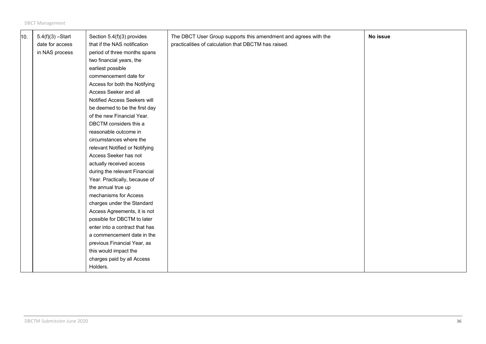| 10. | $5.4(f)(3) - Start$<br>date for access<br>in NAS process | Section 5.4(f)(3) provides<br>that if the NAS notification<br>period of three months spans<br>two financial years, the<br>earliest possible<br>commencement date for<br>Access for both the Notifying<br>Access Seeker and all<br>Notified Access Seekers will<br>be deemed to be the first day<br>of the new Financial Year.<br>DBCTM considers this a<br>reasonable outcome in<br>circumstances where the<br>relevant Notified or Notifying<br>Access Seeker has not<br>actually received access<br>during the relevant Financial<br>Year. Practically, because of<br>the annual true up<br>mechanisms for Access<br>charges under the Standard<br>Access Agreements, it is not<br>possible for DBCTM to later<br>enter into a contract that has<br>a commencement date in the | The DBCT User Group supports this amendment and agrees with the<br>practicalities of calculation that DBCTM has raised. | No issue |
|-----|----------------------------------------------------------|----------------------------------------------------------------------------------------------------------------------------------------------------------------------------------------------------------------------------------------------------------------------------------------------------------------------------------------------------------------------------------------------------------------------------------------------------------------------------------------------------------------------------------------------------------------------------------------------------------------------------------------------------------------------------------------------------------------------------------------------------------------------------------|-------------------------------------------------------------------------------------------------------------------------|----------|
|     |                                                          | previous Financial Year, as<br>this would impact the<br>charges paid by all Access<br>Holders.                                                                                                                                                                                                                                                                                                                                                                                                                                                                                                                                                                                                                                                                                   |                                                                                                                         |          |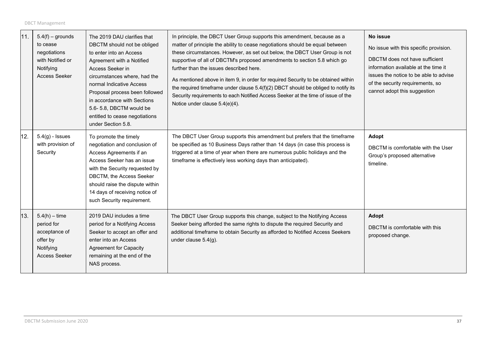| 11. | $5.4(f)$ – grounds<br>to cease<br>negotiations<br>with Notified or<br>Notifying<br><b>Access Seeker</b> | The 2019 DAU clarifies that<br>DBCTM should not be obliged<br>to enter into an Access<br>Agreement with a Notified<br>Access Seeker in<br>circumstances where, had the<br>normal Indicative Access<br>Proposal process been followed<br>in accordance with Sections<br>5.6-5.8, DBCTM would be<br>entitled to cease negotiations<br>under Section 5.8. | In principle, the DBCT User Group supports this amendment, because as a<br>matter of principle the ability to cease negotiations should be equal between<br>these circumstances. However, as set out below, the DBCT User Group is not<br>supportive of all of DBCTM's proposed amendments to section 5.8 which go<br>further than the issues described here.<br>As mentioned above in item 9, in order for required Security to be obtained within<br>the required timeframe under clause 5.4(f)(2) DBCT should be obliged to notify its<br>Security requirements to each Notified Access Seeker at the time of issue of the<br>Notice under clause 5.4(e)(4). | No issue<br>No issue with this specific provision.<br>DBCTM does not have sufficient<br>information available at the time it<br>issues the notice to be able to advise<br>of the security requirements, so<br>cannot adopt this suggestion |
|-----|---------------------------------------------------------------------------------------------------------|--------------------------------------------------------------------------------------------------------------------------------------------------------------------------------------------------------------------------------------------------------------------------------------------------------------------------------------------------------|-----------------------------------------------------------------------------------------------------------------------------------------------------------------------------------------------------------------------------------------------------------------------------------------------------------------------------------------------------------------------------------------------------------------------------------------------------------------------------------------------------------------------------------------------------------------------------------------------------------------------------------------------------------------|--------------------------------------------------------------------------------------------------------------------------------------------------------------------------------------------------------------------------------------------|
| 12. | $5.4(g)$ - Issues<br>with provision of<br>Security                                                      | To promote the timely<br>negotiation and conclusion of<br>Access Agreements if an<br>Access Seeker has an issue<br>with the Security requested by<br>DBCTM, the Access Seeker<br>should raise the dispute within<br>14 days of receiving notice of<br>such Security requirement.                                                                       | The DBCT User Group supports this amendment but prefers that the timeframe<br>be specified as 10 Business Days rather than 14 days (in case this process is<br>triggered at a time of year when there are numerous public holidays and the<br>timeframe is effectively less working days than anticipated).                                                                                                                                                                                                                                                                                                                                                     | Adopt<br>DBCTM is comfortable with the User<br>Group's proposed alternative<br>timeline.                                                                                                                                                   |
| 13. | $5.4(h) - time$<br>period for<br>acceptance of<br>offer by<br>Notifying<br><b>Access Seeker</b>         | 2019 DAU includes a time<br>period for a Notifying Access<br>Seeker to accept an offer and<br>enter into an Access<br><b>Agreement for Capacity</b><br>remaining at the end of the<br>NAS process.                                                                                                                                                     | The DBCT User Group supports this change, subject to the Notifying Access<br>Seeker being afforded the same rights to dispute the required Security and<br>additional timeframe to obtain Security as afforded to Notified Access Seekers<br>under clause 5.4(g).                                                                                                                                                                                                                                                                                                                                                                                               | Adopt<br>DBCTM is comfortable with this<br>proposed change.                                                                                                                                                                                |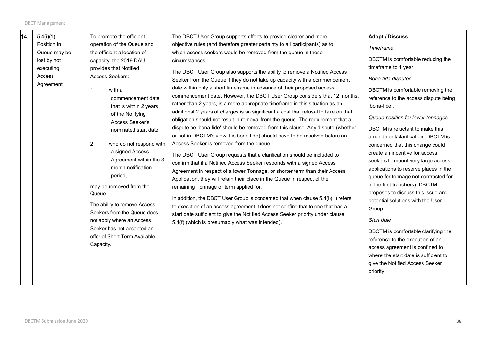| 14. | $5.4(i)(1) -$                                                   | To promote the efficient                                                                                                                                                                                                                                                                                                                                                                                                                                                                                                                                             | The DBCT User Group supports efforts to provide clearer and more                                                                                                                                                                                                                                                                                                                                                                                                                                                                                                                                                                                                                                                                                                                                                                                                                                                                                                                                                                                                                                                                                                                                                                                                                                                                                                                                                                                                                                                                            | <b>Adopt / Discuss</b>                                                                                                                                                                                                                                                                                                                                                                                                                                                                                                                                                                                                                                                                                                                                                                                                             |
|-----|-----------------------------------------------------------------|----------------------------------------------------------------------------------------------------------------------------------------------------------------------------------------------------------------------------------------------------------------------------------------------------------------------------------------------------------------------------------------------------------------------------------------------------------------------------------------------------------------------------------------------------------------------|---------------------------------------------------------------------------------------------------------------------------------------------------------------------------------------------------------------------------------------------------------------------------------------------------------------------------------------------------------------------------------------------------------------------------------------------------------------------------------------------------------------------------------------------------------------------------------------------------------------------------------------------------------------------------------------------------------------------------------------------------------------------------------------------------------------------------------------------------------------------------------------------------------------------------------------------------------------------------------------------------------------------------------------------------------------------------------------------------------------------------------------------------------------------------------------------------------------------------------------------------------------------------------------------------------------------------------------------------------------------------------------------------------------------------------------------------------------------------------------------------------------------------------------------|------------------------------------------------------------------------------------------------------------------------------------------------------------------------------------------------------------------------------------------------------------------------------------------------------------------------------------------------------------------------------------------------------------------------------------------------------------------------------------------------------------------------------------------------------------------------------------------------------------------------------------------------------------------------------------------------------------------------------------------------------------------------------------------------------------------------------------|
|     | Position in                                                     | operation of the Queue and                                                                                                                                                                                                                                                                                                                                                                                                                                                                                                                                           | objective rules (and therefore greater certainty to all participants) as to                                                                                                                                                                                                                                                                                                                                                                                                                                                                                                                                                                                                                                                                                                                                                                                                                                                                                                                                                                                                                                                                                                                                                                                                                                                                                                                                                                                                                                                                 | Timeframe                                                                                                                                                                                                                                                                                                                                                                                                                                                                                                                                                                                                                                                                                                                                                                                                                          |
|     | Queue may be<br>lost by not<br>executing<br>Access<br>Agreement | the efficient allocation of<br>capacity, the 2019 DAU<br>provides that Notified<br>Access Seekers:<br>with a<br>commencement date<br>that is within 2 years<br>of the Notifying<br>Access Seeker's<br>nominated start date:<br>$\overline{2}$<br>who do not respond with<br>a signed Access<br>Agreement within the 3-<br>month notification<br>period,<br>may be removed from the<br>Queue.<br>The ability to remove Access<br>Seekers from the Queue does<br>not apply where an Access<br>Seeker has not accepted an<br>offer of Short-Term Available<br>Capacity. | which access seekers would be removed from the queue in these<br>circumstances.<br>The DBCT User Group also supports the ability to remove a Notified Access<br>Seeker from the Queue if they do not take up capacity with a commencement<br>date within only a short timeframe in advance of their proposed access<br>commencement date. However, the DBCT User Group considers that 12 months,<br>rather than 2 years, is a more appropriate timeframe in this situation as an<br>additional 2 years of charges is so significant a cost that refusal to take on that<br>obligation should not result in removal from the queue. The requirement that a<br>dispute be 'bona fide' should be removed from this clause. Any dispute (whether<br>or not in DBCTM's view it is bona fide) should have to be resolved before an<br>Access Seeker is removed from the queue.<br>The DBCT User Group requests that a clarification should be included to<br>confirm that if a Notified Access Seeker responds with a signed Access<br>Agreement in respect of a lower Tonnage, or shorter term than their Access<br>Application, they will retain their place in the Queue in respect of the<br>remaining Tonnage or term applied for.<br>In addition, the DBCT User Group is concerned that when clause 5.4(i)(1) refers<br>to execution of an access agreement it does not confine that to one that has a<br>start date sufficient to give the Notified Access Seeker priority under clause<br>5.4(f) (which is presumably what was intended). | DBCTM is comfortable reducing the<br>timeframe to 1 year<br>Bona fide disputes<br>DBCTM is comfortable removing the<br>reference to the access dispute being<br>'bona-fide'.<br>Queue position for lower tonnages<br>DBCTM is reluctant to make this<br>amendment/clarification. DBCTM is<br>concerned that this change could<br>create an incentive for access<br>seekers to mount very large access<br>applications to reserve places in the<br>queue for tonnage not contracted for<br>in the first tranche(s). DBCTM<br>proposes to discuss this issue and<br>potential solutions with the User<br>Group.<br>Start date<br>DBCTM is comfortable clarifying the<br>reference to the execution of an<br>access agreement is confined to<br>where the start date is sufficient to<br>give the Notified Access Seeker<br>priority. |
|     |                                                                 |                                                                                                                                                                                                                                                                                                                                                                                                                                                                                                                                                                      |                                                                                                                                                                                                                                                                                                                                                                                                                                                                                                                                                                                                                                                                                                                                                                                                                                                                                                                                                                                                                                                                                                                                                                                                                                                                                                                                                                                                                                                                                                                                             |                                                                                                                                                                                                                                                                                                                                                                                                                                                                                                                                                                                                                                                                                                                                                                                                                                    |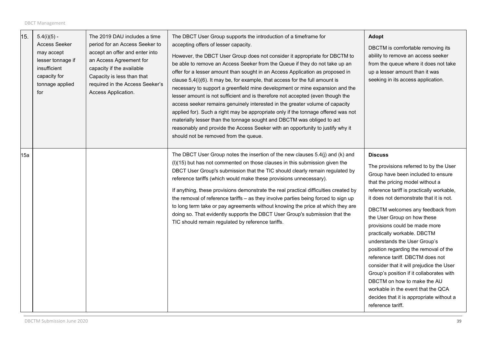| 15. | $5.4(i)(5) -$<br>Access Seeker<br>may accept<br>lesser tonnage if<br>insufficient<br>capacity for<br>tonnage applied<br>for | The 2019 DAU includes a time<br>period for an Access Seeker to<br>accept an offer and enter into<br>an Access Agreement for<br>capacity if the available<br>Capacity is less than that<br>required in the Access Seeker's<br>Access Application. | The DBCT User Group supports the introduction of a timeframe for<br>accepting offers of lesser capacity.<br>However, the DBCT User Group does not consider it appropriate for DBCTM to<br>be able to remove an Access Seeker from the Queue if they do not take up an<br>offer for a lesser amount than sought in an Access Application as proposed in<br>clause 5,4(i)(6). It may be, for example, that access for the full amount is<br>necessary to support a greenfield mine development or mine expansion and the<br>lesser amount is not sufficient and is therefore not accepted (even though the<br>access seeker remains genuinely interested in the greater volume of capacity<br>applied for). Such a right may be appropriate only if the tonnage offered was not<br>materially lesser than the tonnage sought and DBCTM was obliged to act<br>reasonably and provide the Access Seeker with an opportunity to justify why it<br>should not be removed from the queue. | <b>Adopt</b><br>DBCTM is comfortable removing its<br>ability to remove an access seeker<br>from the queue where it does not take<br>up a lesser amount than it was<br>seeking in its access application.                                                                                                                                                                                                                                                                                                                                                                                                                                                                                                 |
|-----|-----------------------------------------------------------------------------------------------------------------------------|--------------------------------------------------------------------------------------------------------------------------------------------------------------------------------------------------------------------------------------------------|------------------------------------------------------------------------------------------------------------------------------------------------------------------------------------------------------------------------------------------------------------------------------------------------------------------------------------------------------------------------------------------------------------------------------------------------------------------------------------------------------------------------------------------------------------------------------------------------------------------------------------------------------------------------------------------------------------------------------------------------------------------------------------------------------------------------------------------------------------------------------------------------------------------------------------------------------------------------------------|----------------------------------------------------------------------------------------------------------------------------------------------------------------------------------------------------------------------------------------------------------------------------------------------------------------------------------------------------------------------------------------------------------------------------------------------------------------------------------------------------------------------------------------------------------------------------------------------------------------------------------------------------------------------------------------------------------|
| 15a |                                                                                                                             |                                                                                                                                                                                                                                                  | The DBCT User Group notes the insertion of the new clauses 5.4(j) and (k) and<br>(I)(15) but has not commented on those clauses in this submission given the<br>DBCT User Group's submission that the TIC should clearly remain regulated by<br>reference tariffs (which would make these provisions unnecessary).<br>If anything, these provisions demonstrate the real practical difficulties created by<br>the removal of reference tariffs - as they involve parties being forced to sign up<br>to long term take or pay agreements without knowing the price at which they are<br>doing so. That evidently supports the DBCT User Group's submission that the<br>TIC should remain regulated by reference tariffs.                                                                                                                                                                                                                                                            | <b>Discuss</b><br>The provisions referred to by the User<br>Group have been included to ensure<br>that the pricing model without a<br>reference tariff is practically workable,<br>it does not demonstrate that it is not.<br>DBCTM welcomes any feedback from<br>the User Group on how these<br>provisions could be made more<br>practically workable. DBCTM<br>understands the User Group's<br>position regarding the removal of the<br>reference tariff. DBCTM does not<br>consider that it will prejudice the User<br>Group's position if it collaborates with<br>DBCTM on how to make the AU<br>workable in the event that the QCA<br>decides that it is appropriate without a<br>reference tariff. |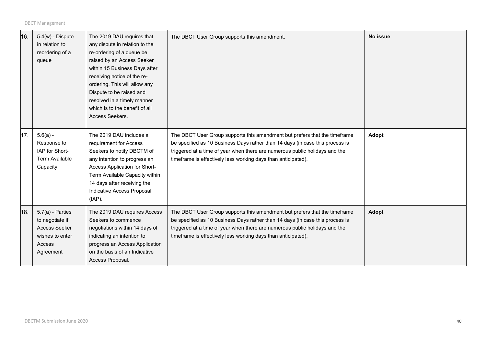| 16. | $5.4(w)$ - Dispute<br>in relation to<br>reordering of a<br>queue                                        | The 2019 DAU requires that<br>any dispute in relation to the<br>re-ordering of a queue be<br>raised by an Access Seeker<br>within 15 Business Days after<br>receiving notice of the re-<br>ordering. This will allow any<br>Dispute to be raised and<br>resolved in a timely manner<br>which is to the benefit of all<br>Access Seekers. | The DBCT User Group supports this amendment.                                                                                                                                                                                                                                                                | No issue |
|-----|---------------------------------------------------------------------------------------------------------|------------------------------------------------------------------------------------------------------------------------------------------------------------------------------------------------------------------------------------------------------------------------------------------------------------------------------------------|-------------------------------------------------------------------------------------------------------------------------------------------------------------------------------------------------------------------------------------------------------------------------------------------------------------|----------|
| 17. | $5.6(a) -$<br>Response to<br>IAP for Short-<br><b>Term Available</b><br>Capacity                        | The 2019 DAU includes a<br>requirement for Access<br>Seekers to notify DBCTM of<br>any intention to progress an<br>Access Application for Short-<br>Term Available Capacity within<br>14 days after receiving the<br>Indicative Access Proposal<br>$(IAP)$ .                                                                             | The DBCT User Group supports this amendment but prefers that the timeframe<br>be specified as 10 Business Days rather than 14 days (in case this process is<br>triggered at a time of year when there are numerous public holidays and the<br>timeframe is effectively less working days than anticipated). | Adopt    |
| 18. | $5.7(a)$ - Parties<br>to negotiate if<br><b>Access Seeker</b><br>wishes to enter<br>Access<br>Agreement | The 2019 DAU requires Access<br>Seekers to commence<br>negotiations within 14 days of<br>indicating an intention to<br>progress an Access Application<br>on the basis of an Indicative<br>Access Proposal.                                                                                                                               | The DBCT User Group supports this amendment but prefers that the timeframe<br>be specified as 10 Business Days rather than 14 days (in case this process is<br>triggered at a time of year when there are numerous public holidays and the<br>timeframe is effectively less working days than anticipated). | Adopt    |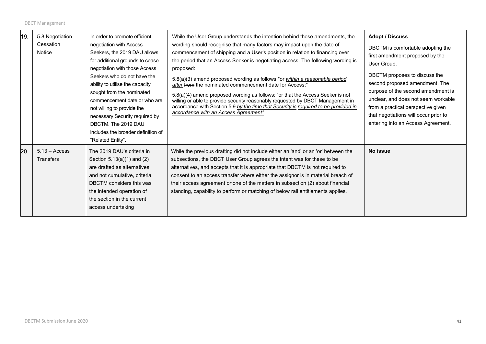| 19. | 5.8 Negotiation<br>Cessation<br>Notice | In order to promote efficient<br>negotiation with Access<br>Seekers, the 2019 DAU allows<br>for additional grounds to cease<br>negotiation with those Access<br>Seekers who do not have the<br>ability to utilise the capacity<br>sought from the nominated<br>commencement date or who are<br>not willing to provide the<br>necessary Security required by<br>DBCTM. The 2019 DAU<br>includes the broader definition of<br>"Related Entity". | While the User Group understands the intention behind these amendments, the<br>wording should recognise that many factors may impact upon the date of<br>commencement of shipping and a User's position in relation to financing over<br>the period that an Access Seeker is negotiating access. The following wording is<br>proposed:<br>5.8(a)(3) amend proposed wording as follows "or within a reasonable period<br>after from the nominated commencement date for Access;"<br>5.8(a)(4) amend proposed wording as follows: "or that the Access Seeker is not<br>willing or able to provide security reasonably requested by DBCT Management in<br>accordance with Section 5.9 by the time that Security is required to be provided in<br>accordance with an Access Agreement" | <b>Adopt / Discuss</b><br>DBCTM is comfortable adopting the<br>first amendment proposed by the<br>User Group.<br>DBCTM proposes to discuss the<br>second proposed amendment. The<br>purpose of the second amendment is<br>unclear, and does not seem workable<br>from a practical perspective given<br>that negotiations will occur prior to<br>entering into an Access Agreement. |
|-----|----------------------------------------|-----------------------------------------------------------------------------------------------------------------------------------------------------------------------------------------------------------------------------------------------------------------------------------------------------------------------------------------------------------------------------------------------------------------------------------------------|------------------------------------------------------------------------------------------------------------------------------------------------------------------------------------------------------------------------------------------------------------------------------------------------------------------------------------------------------------------------------------------------------------------------------------------------------------------------------------------------------------------------------------------------------------------------------------------------------------------------------------------------------------------------------------------------------------------------------------------------------------------------------------|------------------------------------------------------------------------------------------------------------------------------------------------------------------------------------------------------------------------------------------------------------------------------------------------------------------------------------------------------------------------------------|
| 20. | $5.13 - Access$<br>Transfers           | The 2019 DAU's criteria in<br>Section $5.13(a)(1)$ and $(2)$<br>are drafted as alternatives,<br>and not cumulative, criteria.<br>DBCTM considers this was<br>the intended operation of<br>the section in the current<br>access undertaking                                                                                                                                                                                                    | While the previous drafting did not include either an 'and' or an 'or' between the<br>subsections, the DBCT User Group agrees the intent was for these to be<br>alternatives, and accepts that it is appropriate that DBCTM is not required to<br>consent to an access transfer where either the assignor is in material breach of<br>their access agreement or one of the matters in subsection (2) about financial<br>standing, capability to perform or matching of below rail entitlements applies.                                                                                                                                                                                                                                                                            | No issue                                                                                                                                                                                                                                                                                                                                                                           |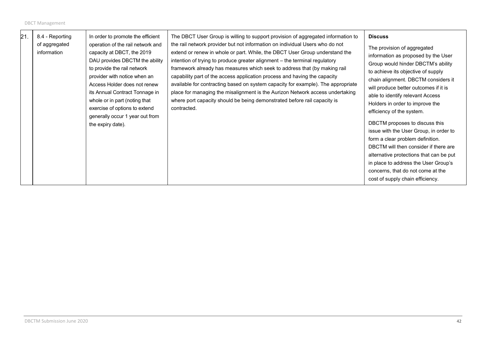| 21 | 8.4 - Reporting<br>of aggregated<br>information | In order to promote the efficient<br>operation of the rail network and<br>capacity at DBCT, the 2019<br>DAU provides DBCTM the ability<br>to provide the rail network<br>provider with notice when an<br>Access Holder does not renew<br>its Annual Contract Tonnage in<br>whole or in part (noting that<br>exercise of options to extend<br>generally occur 1 year out from<br>the expiry date). | The DBCT User Group is willing to support provision of aggregated information to<br>the rail network provider but not information on individual Users who do not<br>extend or renew in whole or part. While, the DBCT User Group understand the<br>intention of trying to produce greater alignment - the terminal regulatory<br>framework already has measures which seek to address that (by making rail<br>capability part of the access application process and having the capacity<br>available for contracting based on system capacity for example). The appropriate<br>place for managing the misalignment is the Aurizon Network access undertaking<br>where port capacity should be being demonstrated before rail capacity is<br>contracted. | <b>Discuss</b><br>The provision of aggregated<br>information as proposed by the User<br>Group would hinder DBCTM's ability<br>to achieve its objective of supply<br>chain alignment. DBCTM considers it<br>will produce better outcomes if it is<br>able to identify relevant Access<br>Holders in order to improve the<br>efficiency of the system.<br>DBCTM proposes to discuss this<br>issue with the User Group, in order to<br>form a clear problem definition.<br>DBCTM will then consider if there are<br>alternative protections that can be put<br>in place to address the User Group's<br>concerns, that do not come at the<br>cost of supply chain efficiency. |
|----|-------------------------------------------------|---------------------------------------------------------------------------------------------------------------------------------------------------------------------------------------------------------------------------------------------------------------------------------------------------------------------------------------------------------------------------------------------------|---------------------------------------------------------------------------------------------------------------------------------------------------------------------------------------------------------------------------------------------------------------------------------------------------------------------------------------------------------------------------------------------------------------------------------------------------------------------------------------------------------------------------------------------------------------------------------------------------------------------------------------------------------------------------------------------------------------------------------------------------------|---------------------------------------------------------------------------------------------------------------------------------------------------------------------------------------------------------------------------------------------------------------------------------------------------------------------------------------------------------------------------------------------------------------------------------------------------------------------------------------------------------------------------------------------------------------------------------------------------------------------------------------------------------------------------|
|----|-------------------------------------------------|---------------------------------------------------------------------------------------------------------------------------------------------------------------------------------------------------------------------------------------------------------------------------------------------------------------------------------------------------------------------------------------------------|---------------------------------------------------------------------------------------------------------------------------------------------------------------------------------------------------------------------------------------------------------------------------------------------------------------------------------------------------------------------------------------------------------------------------------------------------------------------------------------------------------------------------------------------------------------------------------------------------------------------------------------------------------------------------------------------------------------------------------------------------------|---------------------------------------------------------------------------------------------------------------------------------------------------------------------------------------------------------------------------------------------------------------------------------------------------------------------------------------------------------------------------------------------------------------------------------------------------------------------------------------------------------------------------------------------------------------------------------------------------------------------------------------------------------------------------|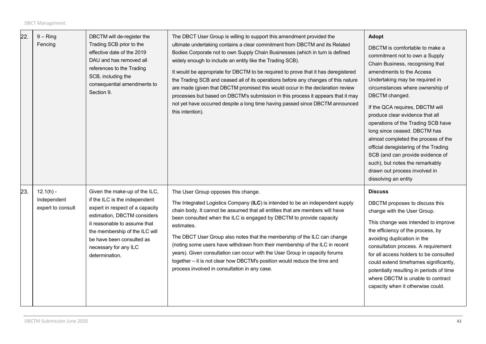| 22. | $9 - Ring$<br>Fencing                           | DBCTM will de-register the<br>Trading SCB prior to the<br>effective date of the 2019<br>DAU and has removed all<br>references to the Trading<br>SCB, including the<br>consequential amendments to<br>Section 9.                                                            | The DBCT User Group is willing to support this amendment provided the<br>ultimate undertaking contains a clear commitment from DBCTM and its Related<br>Bodies Corporate not to own Supply Chain Businesses (which in turn is defined<br>widely enough to include an entity like the Trading SCB).<br>It would be appropriate for DBCTM to be required to prove that it has deregistered<br>the Trading SCB and ceased all of its operations before any changes of this nature<br>are made (given that DBCTM promised this would occur in the declaration review<br>processes but based on DBCTM's submission in this process it appears that it may<br>not yet have occurred despite a long time having passed since DBCTM announced<br>this intention). | Adopt<br>DBCTM is comfortable to make a<br>commitment not to own a Supply<br>Chain Business, recognising that<br>amendments to the Access<br>Undertaking may be required in<br>circumstances where ownership of<br>DBCTM changed.<br>If the QCA requires, DBCTM will<br>produce clear evidence that all<br>operations of the Trading SCB have<br>long since ceased. DBCTM has<br>almost completed the process of the<br>official deregistering of the Trading<br>SCB (and can provide evidence of<br>such), but notes the remarkably<br>drawn out process involved in<br>dissolving an entity |
|-----|-------------------------------------------------|----------------------------------------------------------------------------------------------------------------------------------------------------------------------------------------------------------------------------------------------------------------------------|-----------------------------------------------------------------------------------------------------------------------------------------------------------------------------------------------------------------------------------------------------------------------------------------------------------------------------------------------------------------------------------------------------------------------------------------------------------------------------------------------------------------------------------------------------------------------------------------------------------------------------------------------------------------------------------------------------------------------------------------------------------|-----------------------------------------------------------------------------------------------------------------------------------------------------------------------------------------------------------------------------------------------------------------------------------------------------------------------------------------------------------------------------------------------------------------------------------------------------------------------------------------------------------------------------------------------------------------------------------------------|
| 23. | $12.1(h) -$<br>Independent<br>expert to consult | Given the make-up of the ILC,<br>if the ILC is the independent<br>expert in respect of a capacity<br>estimation, DBCTM considers<br>it reasonable to assume that<br>the membership of the ILC will<br>be have been consulted as<br>necessary for any ILC<br>determination. | The User Group opposes this change.<br>The Integrated Logistics Company (ILC) is intended to be an independent supply<br>chain body. It cannot be assumed that all entities that are members will have<br>been consulted when the ILC is engaged by DBCTM to provide capacity<br>estimates.<br>The DBCT User Group also notes that the membership of the ILC can change<br>(noting some users have withdrawn from their membership of the ILC in recent<br>years). Given consultation can occur with the User Group in capacity forums<br>together - it is not clear how DBCTM's position would reduce the time and<br>process involved in consultation in any case.                                                                                      | <b>Discuss</b><br>DBCTM proposes to discuss this<br>change with the User Group.<br>This change was intended to improve<br>the efficiency of the process, by<br>avoiding duplication in the<br>consultation process. A requirement<br>for all access holders to be consulted<br>could extend timeframes significantly,<br>potentially resulting in periods of time<br>where DBCTM is unable to contract<br>capacity when it otherwise could.                                                                                                                                                   |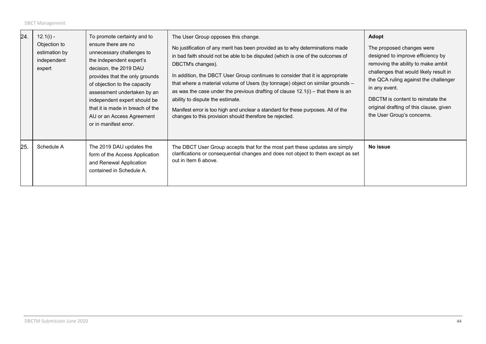| 24. | $12.1(i) -$<br>Objection to<br>estimation by<br>independent<br>expert | To promote certainty and to<br>ensure there are no<br>unnecessary challenges to<br>the independent expert's<br>decision, the 2019 DAU<br>provides that the only grounds<br>of objection to the capacity<br>assessment undertaken by an<br>independent expert should be<br>that it is made in breach of the<br>AU or an Access Agreement<br>or in manifest error. | The User Group opposes this change.<br>No justification of any merit has been provided as to why determinations made<br>in bad faith should not be able to be disputed (which is one of the outcomes of<br>DBCTM's changes).<br>In addition, the DBCT User Group continues to consider that it is appropriate<br>that where a material volume of Users (by tonnage) object on similar grounds -<br>as was the case under the previous drafting of clause $12.1(i)$ – that there is an<br>ability to dispute the estimate.<br>Manifest error is too high and unclear a standard for these purposes. All of the<br>changes to this provision should therefore be rejected. | Adopt<br>The proposed changes were<br>designed to improve efficiency by<br>removing the ability to make ambit<br>challenges that would likely result in<br>the QCA ruling against the challenger<br>in any event.<br>DBCTM is content to reinstate the<br>original drafting of this clause, given<br>the User Group's concerns. |
|-----|-----------------------------------------------------------------------|------------------------------------------------------------------------------------------------------------------------------------------------------------------------------------------------------------------------------------------------------------------------------------------------------------------------------------------------------------------|--------------------------------------------------------------------------------------------------------------------------------------------------------------------------------------------------------------------------------------------------------------------------------------------------------------------------------------------------------------------------------------------------------------------------------------------------------------------------------------------------------------------------------------------------------------------------------------------------------------------------------------------------------------------------|---------------------------------------------------------------------------------------------------------------------------------------------------------------------------------------------------------------------------------------------------------------------------------------------------------------------------------|
| 25. | Schedule A                                                            | The 2019 DAU updates the<br>form of the Access Application<br>and Renewal Application<br>contained in Schedule A.                                                                                                                                                                                                                                                | The DBCT User Group accepts that for the most part these updates are simply<br>clarifications or consequential changes and does not object to them except as set<br>out in Item 6 above.                                                                                                                                                                                                                                                                                                                                                                                                                                                                                 | No issue                                                                                                                                                                                                                                                                                                                        |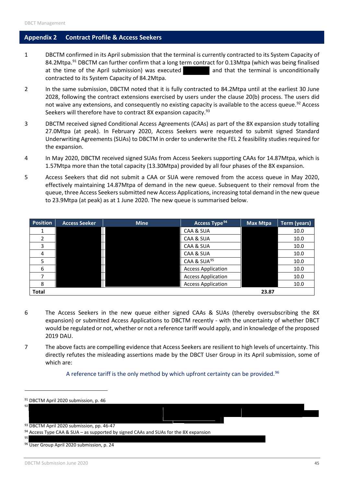#### <span id="page-44-0"></span>**Appendix 2 Contract Profile & Access Seekers**

- 1 DBCTM confirmed in its April submission that the terminal is currently contracted to its System Capacity of 84.2Mtpa.<sup>[91](#page-44-1)</sup> DBCTM can further confirm that a long term contract for 0.13Mtpa (which was being finalised at the time of the April submission) was executed and that the terminal is unconditionally contracted to its System Capacity of 84.2Mtpa.
- 2 In the same submission, DBCTM noted that it is fully contracted to 84.2Mtpa until at the earliest 30 June 2028, following the contract extensions exercised by users under the clause 20(b) process. The users did not waive any extensions, and consequently no existing capacity is available to the access queue.<sup>[92](#page-44-2)</sup> Access Seekers will therefore have to contract 8X expansion capacity.<sup>93</sup>
- 3 DBCTM received signed Conditional Access Agreements (CAAs) as part of the 8X expansion study totalling 27.0Mtpa (at peak). In February 2020, Access Seekers were requested to submit signed Standard Underwriting Agreements (SUAs) to DBCTM in order to underwrite the FEL 2 feasibility studies required for the expansion.
- 4 In May 2020, DBCTM received signed SUAs from Access Seekers supporting CAAs for 14.87Mtpa, which is 1.57Mtpa more than the total capacity (13.30Mtpa) provided by all four phases of the 8X expansion.
- 5 Access Seekers that did not submit a CAA or SUA were removed from the access queue in May 2020, effectively maintaining 14.87Mtpa of demand in the new queue. Subsequent to their removal from the queue, three Access Seekers submitted new Access Applications, increasing total demand in the new queue to 23.9Mtpa (at peak) as at 1 June 2020. The new queue is summarised below.

| <b>Position</b> | <b>Access Seeker</b> | <b>Mine</b> | Access Type <sup>94</sup> | Max Mtpa | Term (years) |
|-----------------|----------------------|-------------|---------------------------|----------|--------------|
|                 |                      |             | CAA & SUA                 |          | 10.0         |
|                 |                      |             | CAA & SUA                 |          | 10.0         |
|                 |                      |             | CAA & SUA                 |          | 10.0         |
|                 |                      |             | CAA & SUA                 |          | 10.0         |
|                 |                      |             | CAA & SUA <sup>95</sup>   |          | 10.0         |
| 6               |                      |             | <b>Access Application</b> |          | 10.0         |
|                 |                      |             | <b>Access Application</b> |          | 10.0         |
|                 |                      |             | <b>Access Application</b> |          | 10.0         |
| <b>Total</b>    |                      |             |                           | 23.87    |              |

- 6 The Access Seekers in the new queue either signed CAAs & SUAs (thereby oversubscribing the 8X expansion) or submitted Access Applications to DBCTM recently - with the uncertainty of whether DBCT would be regulated or not, whether or not a reference tariff would apply, and in knowledge of the proposed 2019 DAU.
- 7 The above facts are compelling evidence that Access Seekers are resilient to high levels of uncertainty. This directly refutes the misleading assertions made by the DBCT User Group in its April submission, some of which are:

A reference tariff is the only method by which upfront certainty can be provided.<sup>[96](#page-44-6)</sup>

<span id="page-44-6"></span><span id="page-44-5"></span><span id="page-44-4"></span><span id="page-44-3"></span><span id="page-44-2"></span><span id="page-44-1"></span>

| <sup>91</sup> DBCTM April 2020 submission, p. 46                                                |  |  |
|-------------------------------------------------------------------------------------------------|--|--|
| 92 l                                                                                            |  |  |
|                                                                                                 |  |  |
| 93 DBCTM April 2020 submission, pp. 46-47                                                       |  |  |
| <sup>94</sup> Access Type CAA & SUA – as supported by signed CAAs and SUAs for the 8X expansion |  |  |
| 95                                                                                              |  |  |
| <sup>96</sup> User Group April 2020 submission, p. 24                                           |  |  |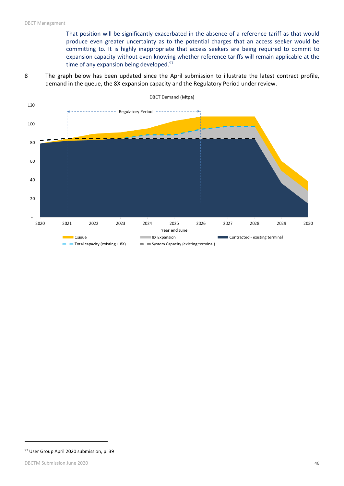That position will be significantly exacerbated in the absence of a reference tariff as that would produce even greater uncertainty as to the potential charges that an access seeker would be committing to. It is highly inappropriate that access seekers are being required to commit to expansion capacity without even knowing whether reference tariffs will remain applicable at the time of any expansion being developed.<sup>[97](#page-45-0)</sup>

8 The graph below has been updated since the April submission to illustrate the latest contract profile, demand in the queue, the 8X expansion capacity and the Regulatory Period under review.



 $\overline{a}$ 

<span id="page-45-0"></span><sup>97</sup> User Group April 2020 submission, p. 39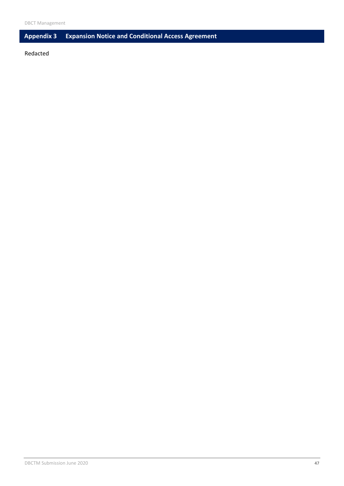## <span id="page-46-0"></span>**Appendix 3 Expansion Notice and Conditional Access Agreement**

Redacted